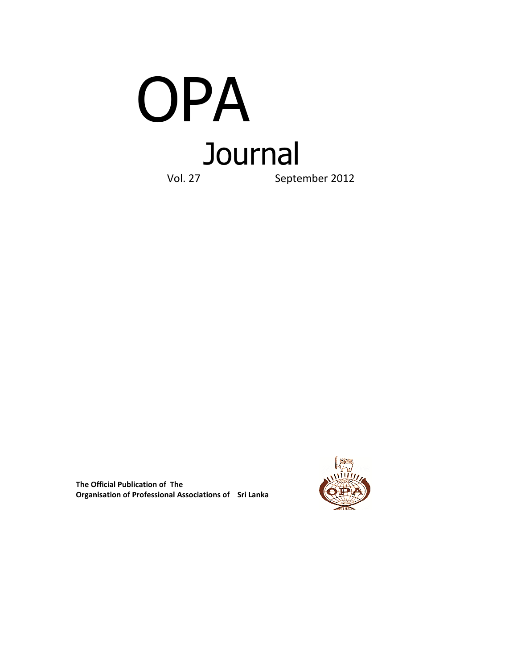

**The Official Publication of The Organisation of Professional Associations of Sri Lanka** 

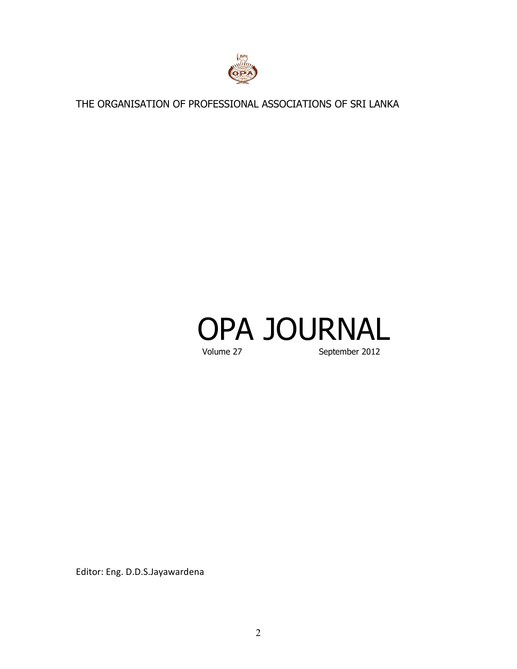

THE ORGANISATION OF PROFESSIONAL ASSOCIATIONS OF SRI LANKA

# OPA JOURNAL September 2012

Editor: Eng. D.D.S.Jayawardena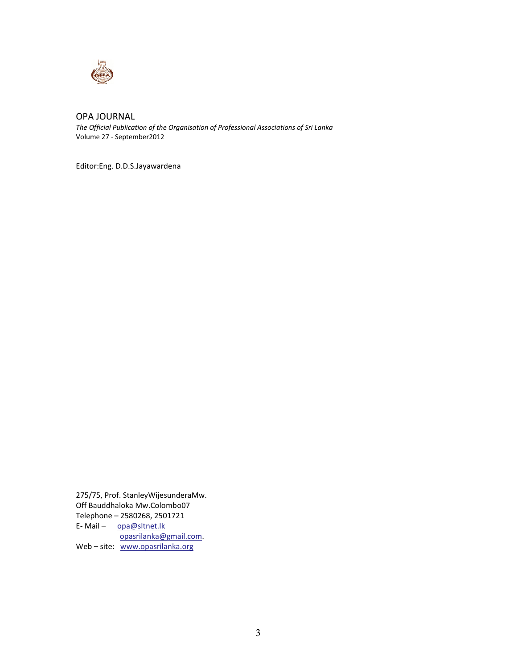

# OPA JOURNAL

*The Official Publication of the Organisation of Professional Associations of Sri Lanka*  Volume 27 - September2012

Editor:Eng. D.D.S.Jayawardena

275/75, Prof. StanleyWijesunderaMw. Off Bauddhaloka Mw.Colombo07 Telephone – 2580268, 2501721 E-Mail - opa@sltnet.lk opasrilanka@gmail.com. Web - site: www.opasrilanka.org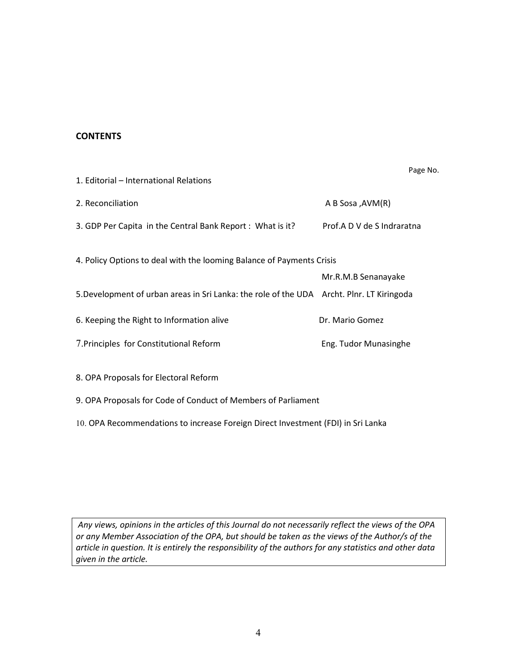# **CONTENTS**

Page No.

| 1. Editorial – International Relations                                                    |                            |  |  |
|-------------------------------------------------------------------------------------------|----------------------------|--|--|
| 2. Reconciliation                                                                         | A B Sosa ,AVM(R)           |  |  |
| 3. GDP Per Capita in the Central Bank Report: What is it?                                 | Prof.A D V de S Indraratna |  |  |
| 4. Policy Options to deal with the looming Balance of Payments Crisis                     |                            |  |  |
|                                                                                           | Mr.R.M.B Senanayake        |  |  |
| 5. Development of urban areas in Sri Lanka: the role of the UDA Archt. Plnr. LT Kiringoda |                            |  |  |
| 6. Keeping the Right to Information alive                                                 | Dr. Mario Gomez            |  |  |
| 7. Principles for Constitutional Reform                                                   | Eng. Tudor Munasinghe      |  |  |
| 8. OPA Proposals for Electoral Reform                                                     |                            |  |  |

- 9. OPA Proposals for Code of Conduct of Members of Parliament
- 10. OPA Recommendations to increase Foreign Direct Investment (FDI) in Sri Lanka

*Any views, opinions in the articles of this Journal do not necessarily reflect the views of the OPA or any Member Association of the OPA, but should be taken as the views of the Author/s of the article in question. It is entirely the responsibility of the authors for any statistics and other data given in the article.*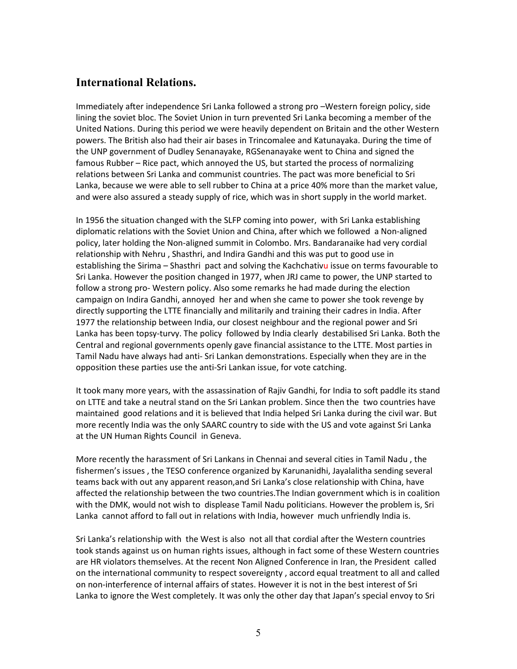# **International Relations.**

Immediately after independence Sri Lanka followed a strong pro –Western foreign policy, side lining the soviet bloc. The Soviet Union in turn prevented Sri Lanka becoming a member of the United Nations. During this period we were heavily dependent on Britain and the other Western powers. The British also had their air bases in Trincomalee and Katunayaka. During the time of the UNP government of Dudley Senanayake, RGSenanayake went to China and signed the famous Rubber – Rice pact, which annoyed the US, but started the process of normalizing relations between Sri Lanka and communist countries. The pact was more beneficial to Sri Lanka, because we were able to sell rubber to China at a price 40% more than the market value, and were also assured a steady supply of rice, which was in short supply in the world market.

In 1956 the situation changed with the SLFP coming into power, with Sri Lanka establishing diplomatic relations with the Soviet Union and China, after which we followed a Non-aligned policy, later holding the Non-aligned summit in Colombo. Mrs. Bandaranaike had very cordial relationship with Nehru , Shasthri, and Indira Gandhi and this was put to good use in establishing the Sirima – Shasthri pact and solving the Kachchativu issue on terms favourable to Sri Lanka. However the position changed in 1977, when JRJ came to power, the UNP started to follow a strong pro- Western policy. Also some remarks he had made during the election campaign on Indira Gandhi, annoyed her and when she came to power she took revenge by directly supporting the LTTE financially and militarily and training their cadres in India. After 1977 the relationship between India, our closest neighbour and the regional power and Sri Lanka has been topsy-turvy. The policy followed by India clearly destabilised Sri Lanka. Both the Central and regional governments openly gave financial assistance to the LTTE. Most parties in Tamil Nadu have always had anti- Sri Lankan demonstrations. Especially when they are in the opposition these parties use the anti-Sri Lankan issue, for vote catching.

It took many more years, with the assassination of Rajiv Gandhi, for India to soft paddle its stand on LTTE and take a neutral stand on the Sri Lankan problem. Since then the two countries have maintained good relations and it is believed that India helped Sri Lanka during the civil war. But more recently India was the only SAARC country to side with the US and vote against Sri Lanka at the UN Human Rights Council in Geneva.

More recently the harassment of Sri Lankans in Chennai and several cities in Tamil Nadu , the fishermen's issues , the TESO conference organized by Karunanidhi, Jayalalitha sending several teams back with out any apparent reason,and Sri Lanka's close relationship with China, have affected the relationship between the two countries.The Indian government which is in coalition with the DMK, would not wish to displease Tamil Nadu politicians. However the problem is, Sri Lanka cannot afford to fall out in relations with India, however much unfriendly India is.

Sri Lanka's relationship with the West is also not all that cordial after the Western countries took stands against us on human rights issues, although in fact some of these Western countries are HR violators themselves. At the recent Non Aligned Conference in Iran, the President called on the international community to respect sovereignty , accord equal treatment to all and called on non-interference of internal affairs of states. However it is not in the best interest of Sri Lanka to ignore the West completely. It was only the other day that Japan's special envoy to Sri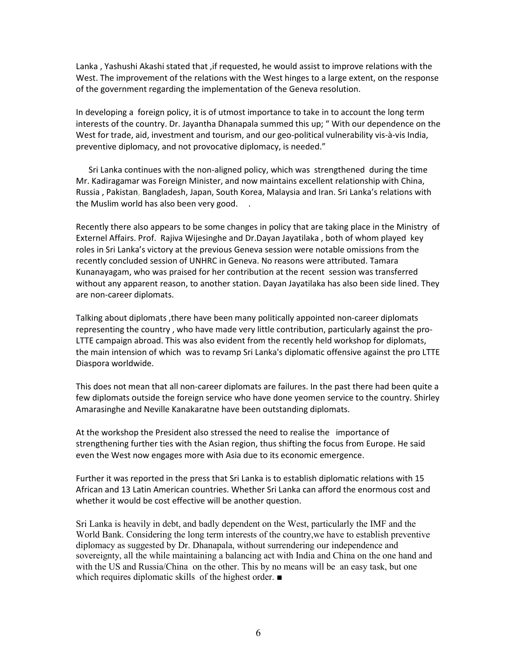Lanka , Yashushi Akashi stated that ,if requested, he would assist to improve relations with the West. The improvement of the relations with the West hinges to a large extent, on the response of the government regarding the implementation of the Geneva resolution.

In developing a foreign policy, it is of utmost importance to take in to account the long term interests of the country. Dr. Jayantha Dhanapala summed this up; " With our dependence on the West for trade, aid, investment and tourism, and our geo-political vulnerability vis-à-vis India, preventive diplomacy, and not provocative diplomacy, is needed."

 Sri Lanka continues with the non-aligned policy, which was strengthened during the time Mr. Kadiragamar was Foreign Minister, and now maintains excellent relationship with China, Russia , Pakistan, Bangladesh, Japan, South Korea, Malaysia and Iran. Sri Lanka's relations with the Muslim world has also been very good.

Recently there also appears to be some changes in policy that are taking place in the Ministry of Externel Affairs. Prof. Rajiva Wijesinghe and Dr.Dayan Jayatilaka , both of whom played key roles in Sri Lanka's victory at the previous Geneva session were notable omissions from the recently concluded session of UNHRC in Geneva. No reasons were attributed. Tamara Kunanayagam, who was praised for her contribution at the recent session was transferred without any apparent reason, to another station. Dayan Jayatilaka has also been side lined. They are non-career diplomats.

Talking about diplomats ,there have been many politically appointed non-career diplomats representing the country , who have made very little contribution, particularly against the pro-LTTE campaign abroad. This was also evident from the recently held workshop for diplomats, the main intension of which was to revamp Sri Lanka's diplomatic offensive against the pro LTTE Diaspora worldwide.

This does not mean that all non-career diplomats are failures. In the past there had been quite a few diplomats outside the foreign service who have done yeomen service to the country. Shirley Amarasinghe and Neville Kanakaratne have been outstanding diplomats.

At the workshop the President also stressed the need to realise the importance of strengthening further ties with the Asian region, thus shifting the focus from Europe. He said even the West now engages more with Asia due to its economic emergence.

Further it was reported in the press that Sri Lanka is to establish diplomatic relations with 15 African and 13 Latin American countries. Whether Sri Lanka can afford the enormous cost and whether it would be cost effective will be another question.

Sri Lanka is heavily in debt, and badly dependent on the West, particularly the IMF and the World Bank. Considering the long term interests of the country,we have to establish preventive diplomacy as suggested by Dr. Dhanapala, without surrendering our independence and sovereignty, all the while maintaining a balancing act with India and China on the one hand and with the US and Russia/China on the other. This by no means will be an easy task, but one which requires diplomatic skills of the highest order. ■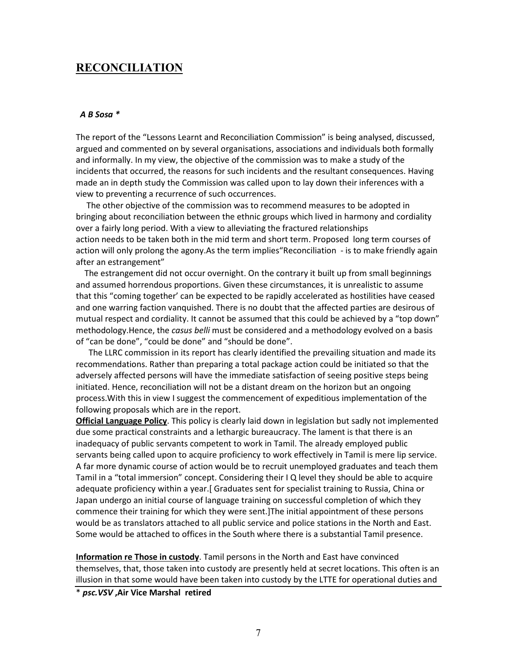# **RECONCILIATION**

#### *A B Sosa \**

The report of the "Lessons Learnt and Reconciliation Commission" is being analysed, discussed, argued and commented on by several organisations, associations and individuals both formally and informally. In my view, the objective of the commission was to make a study of the incidents that occurred, the reasons for such incidents and the resultant consequences. Having made an in depth study the Commission was called upon to lay down their inferences with a view to preventing a recurrence of such occurrences.

 The other objective of the commission was to recommend measures to be adopted in bringing about reconciliation between the ethnic groups which lived in harmony and cordiality over a fairly long period. With a view to alleviating the fractured relationships action needs to be taken both in the mid term and short term. Proposed long term courses of action will only prolong the agony.As the term implies"Reconciliation - is to make friendly again after an estrangement"

 The estrangement did not occur overnight. On the contrary it built up from small beginnings and assumed horrendous proportions. Given these circumstances, it is unrealistic to assume that this "coming together' can be expected to be rapidly accelerated as hostilities have ceased and one warring faction vanquished. There is no doubt that the affected parties are desirous of mutual respect and cordiality. It cannot be assumed that this could be achieved by a "top down" methodology.Hence, the *casus belli* must be considered and a methodology evolved on a basis of "can be done", "could be done" and "should be done".

 The LLRC commission in its report has clearly identified the prevailing situation and made its recommendations. Rather than preparing a total package action could be initiated so that the adversely affected persons will have the immediate satisfaction of seeing positive steps being initiated. Hence, reconciliation will not be a distant dream on the horizon but an ongoing process.With this in view I suggest the commencement of expeditious implementation of the following proposals which are in the report.

**Official Language Policy**. This policy is clearly laid down in legislation but sadly not implemented due some practical constraints and a lethargic bureaucracy. The lament is that there is an inadequacy of public servants competent to work in Tamil. The already employed public servants being called upon to acquire proficiency to work effectively in Tamil is mere lip service. A far more dynamic course of action would be to recruit unemployed graduates and teach them Tamil in a "total immersion" concept. Considering their I Q level they should be able to acquire adequate proficiency within a year.[ Graduates sent for specialist training to Russia, China or Japan undergo an initial course of language training on successful completion of which they commence their training for which they were sent.]The initial appointment of these persons would be as translators attached to all public service and police stations in the North and East. Some would be attached to offices in the South where there is a substantial Tamil presence.

**Information re Those in custody**. Tamil persons in the North and East have convinced themselves, that, those taken into custody are presently held at secret locations. This often is an illusion in that some would have been taken into custody by the LTTE for operational duties and

\* *psc.VSV* **,Air Vice Marshal retired**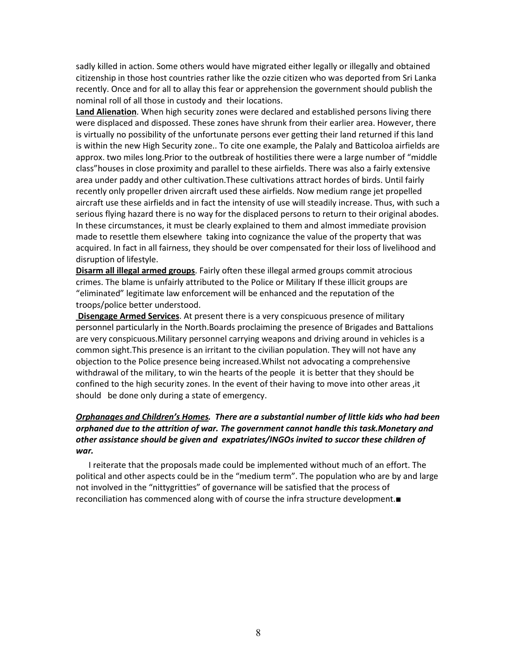sadly killed in action. Some others would have migrated either legally or illegally and obtained citizenship in those host countries rather like the ozzie citizen who was deported from Sri Lanka recently. Once and for all to allay this fear or apprehension the government should publish the nominal roll of all those in custody and their locations.

**Land Alienation**. When high security zones were declared and established persons living there were displaced and dispossed. These zones have shrunk from their earlier area. However, there is virtually no possibility of the unfortunate persons ever getting their land returned if this land is within the new High Security zone.. To cite one example, the Palaly and Batticoloa airfields are approx. two miles long.Prior to the outbreak of hostilities there were a large number of "middle class"houses in close proximity and parallel to these airfields. There was also a fairly extensive area under paddy and other cultivation.These cultivations attract hordes of birds. Until fairly recently only propeller driven aircraft used these airfields. Now medium range jet propelled aircraft use these airfields and in fact the intensity of use will steadily increase. Thus, with such a serious flying hazard there is no way for the displaced persons to return to their original abodes. In these circumstances, it must be clearly explained to them and almost immediate provision made to resettle them elsewhere taking into cognizance the value of the property that was acquired. In fact in all fairness, they should be over compensated for their loss of livelihood and disruption of lifestyle.

**Disarm all illegal armed groups**. Fairly often these illegal armed groups commit atrocious crimes. The blame is unfairly attributed to the Police or Military If these illicit groups are "eliminated" legitimate law enforcement will be enhanced and the reputation of the troops/police better understood.

 **Disengage Armed Services**. At present there is a very conspicuous presence of military personnel particularly in the North.Boards proclaiming the presence of Brigades and Battalions are very conspicuous.Military personnel carrying weapons and driving around in vehicles is a common sight.This presence is an irritant to the civilian population. They will not have any objection to the Police presence being increased.Whilst not advocating a comprehensive withdrawal of the military, to win the hearts of the people it is better that they should be confined to the high security zones. In the event of their having to move into other areas ,it should be done only during a state of emergency.

# *Orphanages and Children's Homes. There are a substantial number of little kids who had been orphaned due to the attrition of war. The government cannot handle this task.Monetary and other assistance should be given and expatriates/INGOs invited to succor these children of war.*

 I reiterate that the proposals made could be implemented without much of an effort. The political and other aspects could be in the "medium term". The population who are by and large not involved in the "nittygritties" of governance will be satisfied that the process of reconciliation has commenced along with of course the infra structure development.■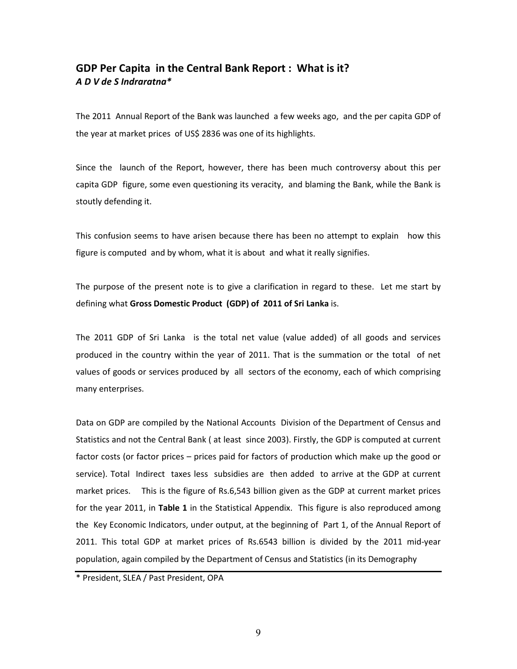# **GDP Per Capita in the Central Bank Report : What is it?** *A D V de S Indraratna\**

The 2011 Annual Report of the Bank was launched a few weeks ago, and the per capita GDP of the year at market prices of US\$ 2836 was one of its highlights.

Since the launch of the Report, however, there has been much controversy about this per capita GDP figure, some even questioning its veracity, and blaming the Bank, while the Bank is stoutly defending it.

This confusion seems to have arisen because there has been no attempt to explain how this figure is computed and by whom, what it is about and what it really signifies.

The purpose of the present note is to give a clarification in regard to these. Let me start by defining what **Gross Domestic Product (GDP) of 2011 of Sri Lanka** is.

The 2011 GDP of Sri Lanka is the total net value (value added) of all goods and services produced in the country within the year of 2011. That is the summation or the total of net values of goods or services produced by all sectors of the economy, each of which comprising many enterprises.

Data on GDP are compiled by the National Accounts Division of the Department of Census and Statistics and not the Central Bank ( at least since 2003). Firstly, the GDP is computed at current factor costs (or factor prices – prices paid for factors of production which make up the good or service). Total Indirect taxes less subsidies are then added to arrive at the GDP at current market prices. This is the figure of Rs.6,543 billion given as the GDP at current market prices for the year 2011, in **Table 1** in the Statistical Appendix. This figure is also reproduced among the Key Economic Indicators, under output, at the beginning of Part 1, of the Annual Report of 2011. This total GDP at market prices of Rs.6543 billion is divided by the 2011 mid-year population, again compiled by the Department of Census and Statistics (in its Demography

\* President, SLEA / Past President, OPA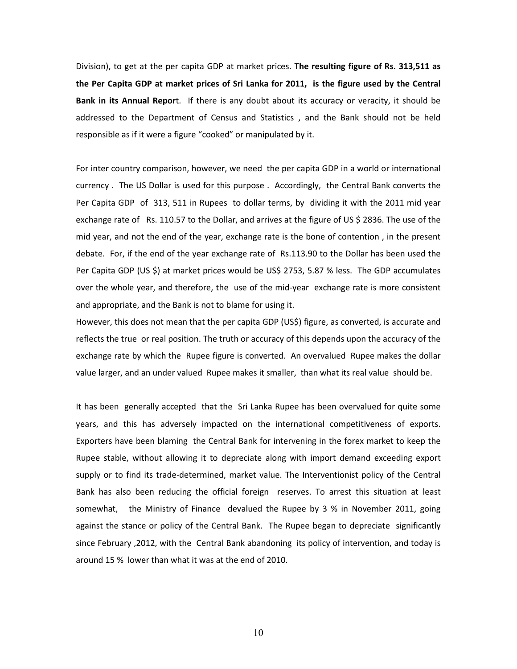Division), to get at the per capita GDP at market prices. **The resulting figure of Rs. 313,511 as the Per Capita GDP at market prices of Sri Lanka for 2011, is the figure used by the Central Bank in its Annual Repor**t. If there is any doubt about its accuracy or veracity, it should be addressed to the Department of Census and Statistics , and the Bank should not be held responsible as if it were a figure "cooked" or manipulated by it.

For inter country comparison, however, we need the per capita GDP in a world or international currency . The US Dollar is used for this purpose . Accordingly, the Central Bank converts the Per Capita GDP of 313, 511 in Rupees to dollar terms, by dividing it with the 2011 mid year exchange rate of Rs. 110.57 to the Dollar, and arrives at the figure of US \$ 2836. The use of the mid year, and not the end of the year, exchange rate is the bone of contention , in the present debate. For, if the end of the year exchange rate of Rs.113.90 to the Dollar has been used the Per Capita GDP (US \$) at market prices would be US\$ 2753, 5.87 % less. The GDP accumulates over the whole year, and therefore, the use of the mid-year exchange rate is more consistent and appropriate, and the Bank is not to blame for using it.

However, this does not mean that the per capita GDP (US\$) figure, as converted, is accurate and reflects the true or real position. The truth or accuracy of this depends upon the accuracy of the exchange rate by which the Rupee figure is converted. An overvalued Rupee makes the dollar value larger, and an under valued Rupee makes it smaller, than what its real value should be.

It has been generally accepted that the Sri Lanka Rupee has been overvalued for quite some years, and this has adversely impacted on the international competitiveness of exports. Exporters have been blaming the Central Bank for intervening in the forex market to keep the Rupee stable, without allowing it to depreciate along with import demand exceeding export supply or to find its trade-determined, market value. The Interventionist policy of the Central Bank has also been reducing the official foreign reserves. To arrest this situation at least somewhat, the Ministry of Finance devalued the Rupee by 3 % in November 2011, going against the stance or policy of the Central Bank. The Rupee began to depreciate significantly since February ,2012, with the Central Bank abandoning its policy of intervention, and today is around 15 % lower than what it was at the end of 2010.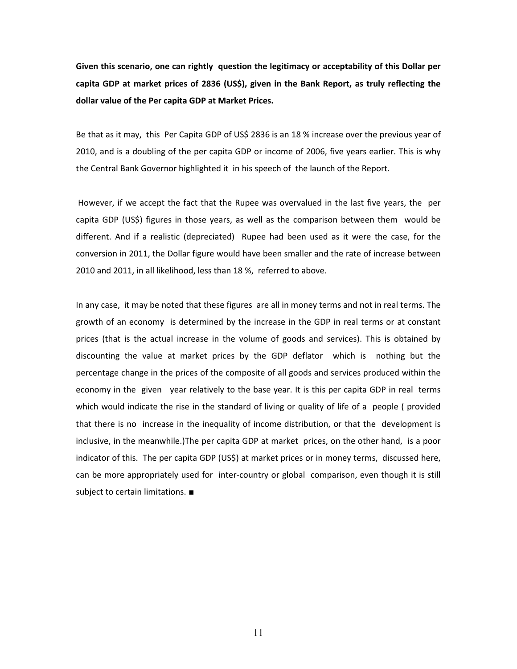**Given this scenario, one can rightly question the legitimacy or acceptability of this Dollar per capita GDP at market prices of 2836 (US\$), given in the Bank Report, as truly reflecting the dollar value of the Per capita GDP at Market Prices.** 

Be that as it may, this Per Capita GDP of US\$ 2836 is an 18 % increase over the previous year of 2010, and is a doubling of the per capita GDP or income of 2006, five years earlier. This is why the Central Bank Governor highlighted it in his speech of the launch of the Report.

 However, if we accept the fact that the Rupee was overvalued in the last five years, the per capita GDP (US\$) figures in those years, as well as the comparison between them would be different. And if a realistic (depreciated) Rupee had been used as it were the case, for the conversion in 2011, the Dollar figure would have been smaller and the rate of increase between 2010 and 2011, in all likelihood, less than 18 %, referred to above.

In any case, it may be noted that these figures are all in money terms and not in real terms. The growth of an economy is determined by the increase in the GDP in real terms or at constant prices (that is the actual increase in the volume of goods and services). This is obtained by discounting the value at market prices by the GDP deflator which is nothing but the percentage change in the prices of the composite of all goods and services produced within the economy in the given year relatively to the base year. It is this per capita GDP in real terms which would indicate the rise in the standard of living or quality of life of a people ( provided that there is no increase in the inequality of income distribution, or that the development is inclusive, in the meanwhile.)The per capita GDP at market prices, on the other hand, is a poor indicator of this. The per capita GDP (US\$) at market prices or in money terms, discussed here, can be more appropriately used for inter-country or global comparison, even though it is still subject to certain limitations. ■

11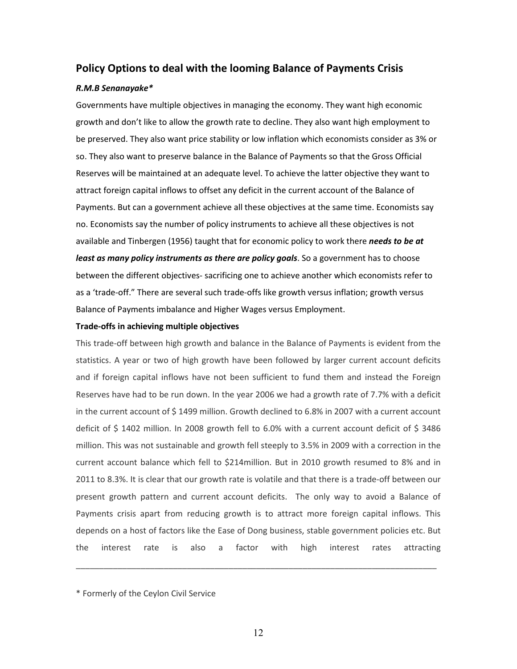# **Policy Options to deal with the looming Balance of Payments Crisis**

#### *R.M.B Senanayake\**

Governments have multiple objectives in managing the economy. They want high economic growth and don't like to allow the growth rate to decline. They also want high employment to be preserved. They also want price stability or low inflation which economists consider as 3% or so. They also want to preserve balance in the Balance of Payments so that the Gross Official Reserves will be maintained at an adequate level. To achieve the latter objective they want to attract foreign capital inflows to offset any deficit in the current account of the Balance of Payments. But can a government achieve all these objectives at the same time. Economists say no. Economists say the number of policy instruments to achieve all these objectives is not available and Tinbergen (1956) taught that for economic policy to work there *needs to be at least as many policy instruments as there are policy goals*. So a government has to choose between the different objectives- sacrificing one to achieve another which economists refer to as a 'trade-off." There are several such trade-offs like growth versus inflation; growth versus Balance of Payments imbalance and Higher Wages versus Employment.

#### **Trade-offs in achieving multiple objectives**

This trade-off between high growth and balance in the Balance of Payments is evident from the statistics. A year or two of high growth have been followed by larger current account deficits and if foreign capital inflows have not been sufficient to fund them and instead the Foreign Reserves have had to be run down. In the year 2006 we had a growth rate of 7.7% with a deficit in the current account of \$ 1499 million. Growth declined to 6.8% in 2007 with a current account deficit of  $\frac{2}{3}$  1402 million. In 2008 growth fell to 6.0% with a current account deficit of  $\frac{2}{3}$  3486 million. This was not sustainable and growth fell steeply to 3.5% in 2009 with a correction in the current account balance which fell to \$214million. But in 2010 growth resumed to 8% and in 2011 to 8.3%. It is clear that our growth rate is volatile and that there is a trade-off between our present growth pattern and current account deficits. The only way to avoid a Balance of Payments crisis apart from reducing growth is to attract more foreign capital inflows. This depends on a host of factors like the Ease of Dong business, stable government policies etc. But the interest rate is also a factor with high interest rates attracting

\_\_\_\_\_\_\_\_\_\_\_\_\_\_\_\_\_\_\_\_\_\_\_\_\_\_\_\_\_\_\_\_\_\_\_\_\_\_\_\_\_\_\_\_\_\_\_\_\_\_\_\_\_\_\_\_\_\_\_\_\_\_\_\_\_\_\_\_\_\_\_\_\_\_\_\_\_\_

<sup>\*</sup> Formerly of the Ceylon Civil Service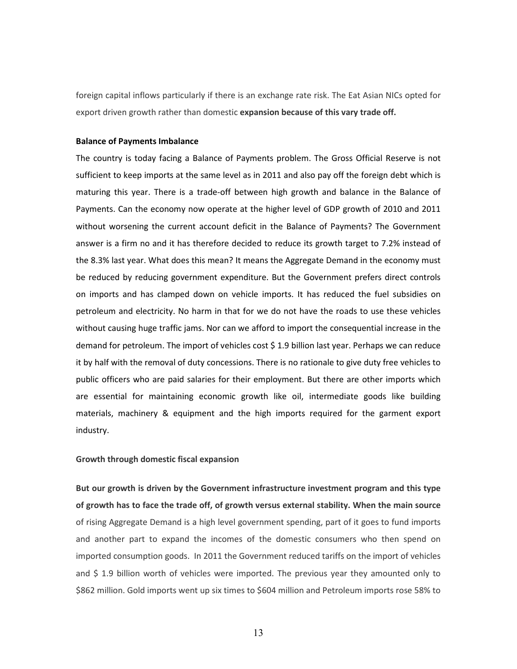foreign capital inflows particularly if there is an exchange rate risk. The Eat Asian NICs opted for export driven growth rather than domestic **expansion because of this vary trade off.** 

#### **Balance of Payments Imbalance**

The country is today facing a Balance of Payments problem. The Gross Official Reserve is not sufficient to keep imports at the same level as in 2011 and also pay off the foreign debt which is maturing this year. There is a trade-off between high growth and balance in the Balance of Payments. Can the economy now operate at the higher level of GDP growth of 2010 and 2011 without worsening the current account deficit in the Balance of Payments? The Government answer is a firm no and it has therefore decided to reduce its growth target to 7.2% instead of the 8.3% last year. What does this mean? It means the Aggregate Demand in the economy must be reduced by reducing government expenditure. But the Government prefers direct controls on imports and has clamped down on vehicle imports. It has reduced the fuel subsidies on petroleum and electricity. No harm in that for we do not have the roads to use these vehicles without causing huge traffic jams. Nor can we afford to import the consequential increase in the demand for petroleum. The import of vehicles cost \$ 1.9 billion last year. Perhaps we can reduce it by half with the removal of duty concessions. There is no rationale to give duty free vehicles to public officers who are paid salaries for their employment. But there are other imports which are essential for maintaining economic growth like oil, intermediate goods like building materials, machinery & equipment and the high imports required for the garment export industry.

#### **Growth through domestic fiscal expansion**

**But our growth is driven by the Government infrastructure investment program and this type of growth has to face the trade off, of growth versus external stability. When the main source** of rising Aggregate Demand is a high level government spending, part of it goes to fund imports and another part to expand the incomes of the domestic consumers who then spend on imported consumption goods. In 2011 the Government reduced tariffs on the import of vehicles and \$ 1.9 billion worth of vehicles were imported. The previous year they amounted only to \$862 million. Gold imports went up six times to \$604 million and Petroleum imports rose 58% to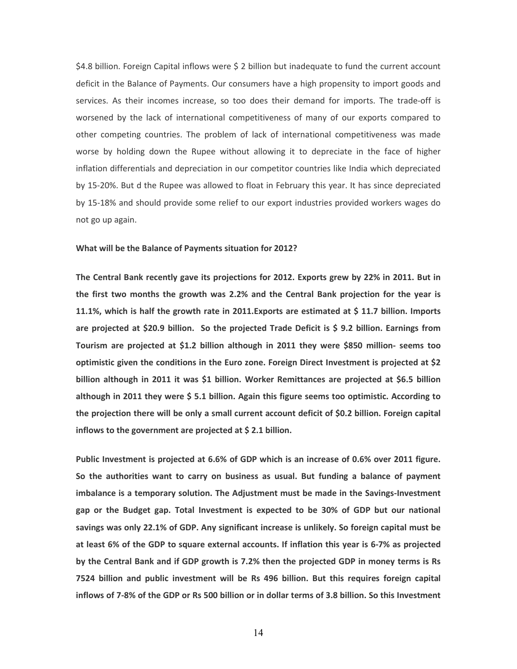\$4.8 billion. Foreign Capital inflows were \$ 2 billion but inadequate to fund the current account deficit in the Balance of Payments. Our consumers have a high propensity to import goods and services. As their incomes increase, so too does their demand for imports. The trade-off is worsened by the lack of international competitiveness of many of our exports compared to other competing countries. The problem of lack of international competitiveness was made worse by holding down the Rupee without allowing it to depreciate in the face of higher inflation differentials and depreciation in our competitor countries like India which depreciated by 15-20%. But d the Rupee was allowed to float in February this year. It has since depreciated by 15-18% and should provide some relief to our export industries provided workers wages do not go up again.

#### **What will be the Balance of Payments situation for 2012?**

**The Central Bank recently gave its projections for 2012. Exports grew by 22% in 2011. But in the first two months the growth was 2.2% and the Central Bank projection for the year is 11.1%, which is half the growth rate in 2011.Exports are estimated at \$ 11.7 billion. Imports are projected at \$20.9 billion. So the projected Trade Deficit is \$ 9.2 billion. Earnings from Tourism are projected at \$1.2 billion although in 2011 they were \$850 million- seems too optimistic given the conditions in the Euro zone. Foreign Direct Investment is projected at \$2 billion although in 2011 it was \$1 billion. Worker Remittances are projected at \$6.5 billion although in 2011 they were \$ 5.1 billion. Again this figure seems too optimistic. According to the projection there will be only a small current account deficit of \$0.2 billion. Foreign capital inflows to the government are projected at \$ 2.1 billion.** 

**Public Investment is projected at 6.6% of GDP which is an increase of 0.6% over 2011 figure. So the authorities want to carry on business as usual. But funding a balance of payment imbalance is a temporary solution. The Adjustment must be made in the Savings-Investment gap or the Budget gap. Total Investment is expected to be 30% of GDP but our national savings was only 22.1% of GDP. Any significant increase is unlikely. So foreign capital must be at least 6% of the GDP to square external accounts. If inflation this year is 6-7% as projected by the Central Bank and if GDP growth is 7.2% then the projected GDP in money terms is Rs 7524 billion and public investment will be Rs 496 billion. But this requires foreign capital inflows of 7-8% of the GDP or Rs 500 billion or in dollar terms of 3.8 billion. So this Investment**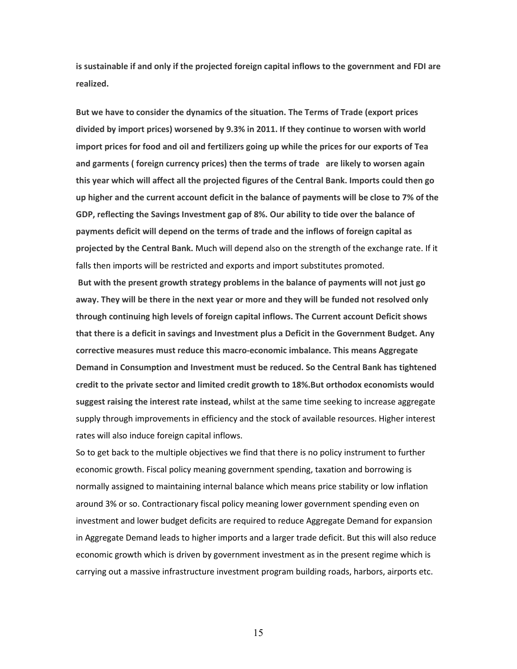**is sustainable if and only if the projected foreign capital inflows to the government and FDI are realized.** 

**But we have to consider the dynamics of the situation. The Terms of Trade (export prices divided by import prices) worsened by 9.3% in 2011. If they continue to worsen with world import prices for food and oil and fertilizers going up while the prices for our exports of Tea and garments ( foreign currency prices) then the terms of trade are likely to worsen again this year which will affect all the projected figures of the Central Bank. Imports could then go up higher and the current account deficit in the balance of payments will be close to 7% of the GDP, reflecting the Savings Investment gap of 8%. Our ability to tide over the balance of payments deficit will depend on the terms of trade and the inflows of foreign capital as projected by the Central Bank.** Much will depend also on the strength of the exchange rate. If it falls then imports will be restricted and exports and import substitutes promoted.

 **But with the present growth strategy problems in the balance of payments will not just go away. They will be there in the next year or more and they will be funded not resolved only through continuing high levels of foreign capital inflows. The Current account Deficit shows that there is a deficit in savings and Investment plus a Deficit in the Government Budget. Any corrective measures must reduce this macro-economic imbalance. This means Aggregate Demand in Consumption and Investment must be reduced. So the Central Bank has tightened credit to the private sector and limited credit growth to 18%.But orthodox economists would suggest raising the interest rate instead,** whilst at the same time seeking to increase aggregate supply through improvements in efficiency and the stock of available resources. Higher interest rates will also induce foreign capital inflows.

So to get back to the multiple objectives we find that there is no policy instrument to further economic growth. Fiscal policy meaning government spending, taxation and borrowing is normally assigned to maintaining internal balance which means price stability or low inflation around 3% or so. Contractionary fiscal policy meaning lower government spending even on investment and lower budget deficits are required to reduce Aggregate Demand for expansion in Aggregate Demand leads to higher imports and a larger trade deficit. But this will also reduce economic growth which is driven by government investment as in the present regime which is carrying out a massive infrastructure investment program building roads, harbors, airports etc.

15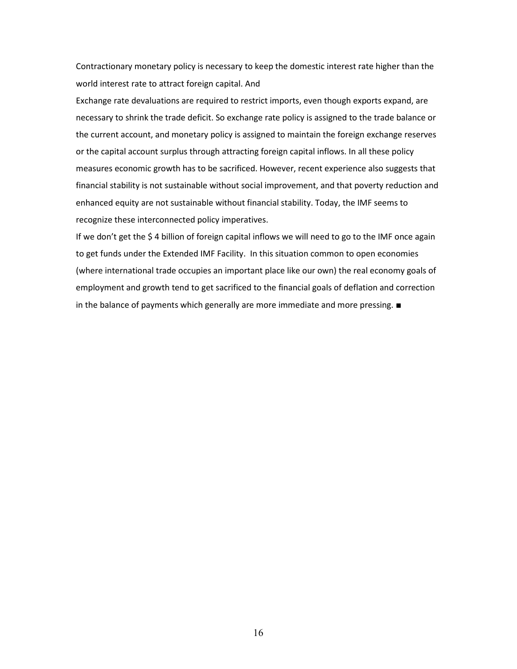Contractionary monetary policy is necessary to keep the domestic interest rate higher than the world interest rate to attract foreign capital. And

Exchange rate devaluations are required to restrict imports, even though exports expand, are necessary to shrink the trade deficit. So exchange rate policy is assigned to the trade balance or the current account, and monetary policy is assigned to maintain the foreign exchange reserves or the capital account surplus through attracting foreign capital inflows. In all these policy measures economic growth has to be sacrificed. However, recent experience also suggests that financial stability is not sustainable without social improvement, and that poverty reduction and enhanced equity are not sustainable without financial stability. Today, the IMF seems to recognize these interconnected policy imperatives.

If we don't get the \$4 billion of foreign capital inflows we will need to go to the IMF once again to get funds under the Extended IMF Facility. In this situation common to open economies (where international trade occupies an important place like our own) the real economy goals of employment and growth tend to get sacrificed to the financial goals of deflation and correction in the balance of payments which generally are more immediate and more pressing. ■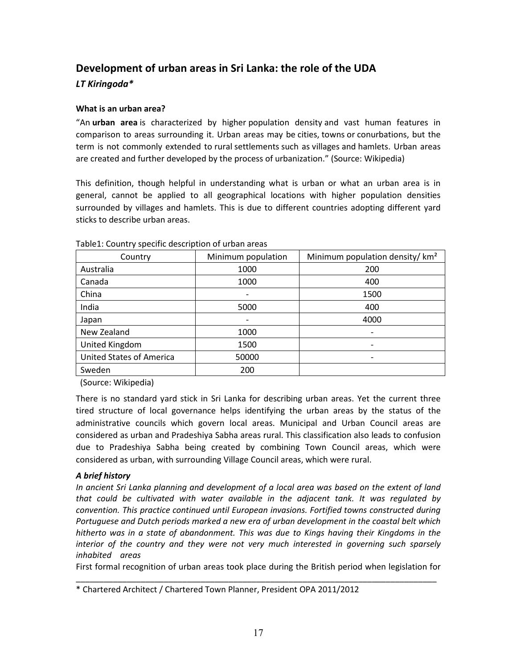# **Development of urban areas in Sri Lanka: the role of the UDA**  *LT Kiringoda\**

# **What is an urban area?**

"An **urban area** is characterized by higher population density and vast human features in comparison to areas surrounding it. Urban areas may be cities, towns or conurbations, but the term is not commonly extended to rural settlements such as villages and hamlets. Urban areas are created and further developed by the process of urbanization." (Source: Wikipedia)

This definition, though helpful in understanding what is urban or what an urban area is in general, cannot be applied to all geographical locations with higher population densities surrounded by villages and hamlets. This is due to different countries adopting different yard sticks to describe urban areas.

| Country                  | Minimum population | Minimum population density/ km <sup>2</sup> |  |
|--------------------------|--------------------|---------------------------------------------|--|
| Australia                | 1000               | 200                                         |  |
| Canada                   | 1000               | 400                                         |  |
| China                    |                    | 1500                                        |  |
| India                    | 5000               | 400                                         |  |
| Japan                    |                    | 4000                                        |  |
| New Zealand              | 1000               |                                             |  |
| United Kingdom           | 1500               |                                             |  |
| United States of America | 50000              |                                             |  |
| Sweden                   | 200                |                                             |  |

Table1: Country specific description of urban areas

(Source: Wikipedia)

There is no standard yard stick in Sri Lanka for describing urban areas. Yet the current three tired structure of local governance helps identifying the urban areas by the status of the administrative councils which govern local areas. Municipal and Urban Council areas are considered as urban and Pradeshiya Sabha areas rural. This classification also leads to confusion due to Pradeshiya Sabha being created by combining Town Council areas, which were considered as urban, with surrounding Village Council areas, which were rural.

# *A brief history*

*In ancient Sri Lanka planning and development of a local area was based on the extent of land that could be cultivated with water available in the adjacent tank. It was regulated by convention. This practice continued until European invasions. Fortified towns constructed during Portuguese and Dutch periods marked a new era of urban development in the coastal belt which hitherto was in a state of abandonment. This was due to Kings having their Kingdoms in the interior of the country and they were not very much interested in governing such sparsely inhabited areas* 

First formal recognition of urban areas took place during the British period when legislation for \_\_\_\_\_\_\_\_\_\_\_\_\_\_\_\_\_\_\_\_\_\_\_\_\_\_\_\_\_\_\_\_\_\_\_\_\_\_\_\_\_\_\_\_\_\_\_\_\_\_\_\_\_\_\_\_\_\_\_\_\_\_\_\_\_\_\_\_\_\_\_\_\_\_\_\_\_\_

<sup>\*</sup> Chartered Architect / Chartered Town Planner, President OPA 2011/2012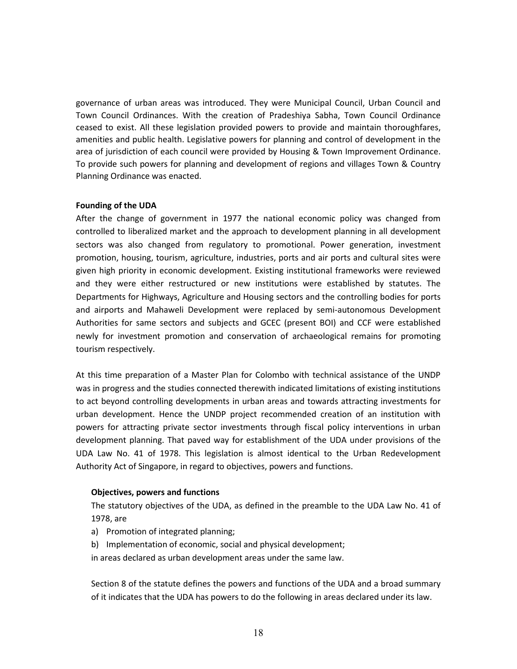governance of urban areas was introduced. They were Municipal Council, Urban Council and Town Council Ordinances. With the creation of Pradeshiya Sabha, Town Council Ordinance ceased to exist. All these legislation provided powers to provide and maintain thoroughfares, amenities and public health. Legislative powers for planning and control of development in the area of jurisdiction of each council were provided by Housing & Town Improvement Ordinance. To provide such powers for planning and development of regions and villages Town & Country Planning Ordinance was enacted.

#### **Founding of the UDA**

After the change of government in 1977 the national economic policy was changed from controlled to liberalized market and the approach to development planning in all development sectors was also changed from regulatory to promotional. Power generation, investment promotion, housing, tourism, agriculture, industries, ports and air ports and cultural sites were given high priority in economic development. Existing institutional frameworks were reviewed and they were either restructured or new institutions were established by statutes. The Departments for Highways, Agriculture and Housing sectors and the controlling bodies for ports and airports and Mahaweli Development were replaced by semi-autonomous Development Authorities for same sectors and subjects and GCEC (present BOI) and CCF were established newly for investment promotion and conservation of archaeological remains for promoting tourism respectively.

At this time preparation of a Master Plan for Colombo with technical assistance of the UNDP was in progress and the studies connected therewith indicated limitations of existing institutions to act beyond controlling developments in urban areas and towards attracting investments for urban development. Hence the UNDP project recommended creation of an institution with powers for attracting private sector investments through fiscal policy interventions in urban development planning. That paved way for establishment of the UDA under provisions of the UDA Law No. 41 of 1978. This legislation is almost identical to the Urban Redevelopment Authority Act of Singapore, in regard to objectives, powers and functions.

#### **Objectives, powers and functions**

The statutory objectives of the UDA, as defined in the preamble to the UDA Law No. 41 of 1978, are

- a) Promotion of integrated planning;
- b) Implementation of economic, social and physical development;
- in areas declared as urban development areas under the same law.

Section 8 of the statute defines the powers and functions of the UDA and a broad summary of it indicates that the UDA has powers to do the following in areas declared under its law.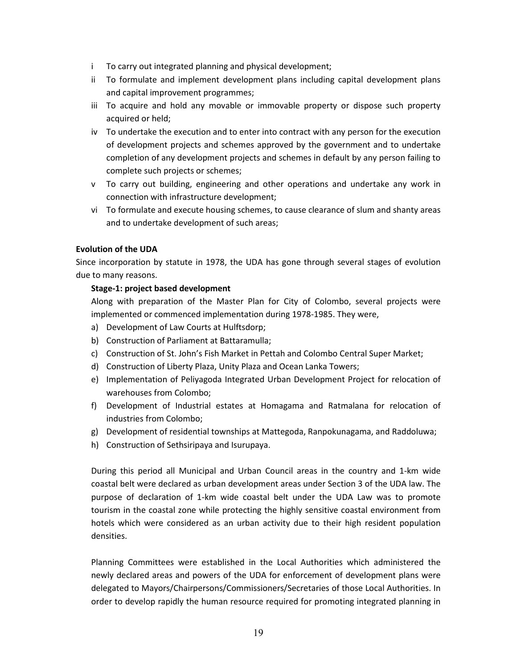- i To carry out integrated planning and physical development;
- ii To formulate and implement development plans including capital development plans and capital improvement programmes;
- iii To acquire and hold any movable or immovable property or dispose such property acquired or held;
- iv To undertake the execution and to enter into contract with any person for the execution of development projects and schemes approved by the government and to undertake completion of any development projects and schemes in default by any person failing to complete such projects or schemes;
- v To carry out building, engineering and other operations and undertake any work in connection with infrastructure development;
- vi To formulate and execute housing schemes, to cause clearance of slum and shanty areas and to undertake development of such areas;

# **Evolution of the UDA**

Since incorporation by statute in 1978, the UDA has gone through several stages of evolution due to many reasons.

# **Stage-1: project based development**

Along with preparation of the Master Plan for City of Colombo, several projects were implemented or commenced implementation during 1978-1985. They were,

- a) Development of Law Courts at Hulftsdorp;
- b) Construction of Parliament at Battaramulla;
- c) Construction of St. John's Fish Market in Pettah and Colombo Central Super Market;
- d) Construction of Liberty Plaza, Unity Plaza and Ocean Lanka Towers;
- e) Implementation of Peliyagoda Integrated Urban Development Project for relocation of warehouses from Colombo;
- f) Development of Industrial estates at Homagama and Ratmalana for relocation of industries from Colombo;
- g) Development of residential townships at Mattegoda, Ranpokunagama, and Raddoluwa;
- h) Construction of Sethsiripaya and Isurupaya.

During this period all Municipal and Urban Council areas in the country and 1-km wide coastal belt were declared as urban development areas under Section 3 of the UDA law. The purpose of declaration of 1-km wide coastal belt under the UDA Law was to promote tourism in the coastal zone while protecting the highly sensitive coastal environment from hotels which were considered as an urban activity due to their high resident population densities.

Planning Committees were established in the Local Authorities which administered the newly declared areas and powers of the UDA for enforcement of development plans were delegated to Mayors/Chairpersons/Commissioners/Secretaries of those Local Authorities. In order to develop rapidly the human resource required for promoting integrated planning in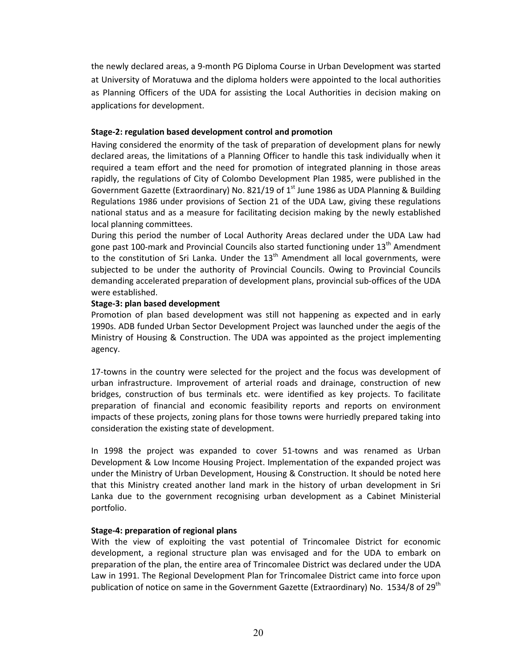the newly declared areas, a 9-month PG Diploma Course in Urban Development was started at University of Moratuwa and the diploma holders were appointed to the local authorities as Planning Officers of the UDA for assisting the Local Authorities in decision making on applications for development.

# **Stage-2: regulation based development control and promotion**

Having considered the enormity of the task of preparation of development plans for newly declared areas, the limitations of a Planning Officer to handle this task individually when it required a team effort and the need for promotion of integrated planning in those areas rapidly, the regulations of City of Colombo Development Plan 1985, were published in the Government Gazette (Extraordinary) No. 821/19 of  $1<sup>st</sup>$  June 1986 as UDA Planning & Building Regulations 1986 under provisions of Section 21 of the UDA Law, giving these regulations national status and as a measure for facilitating decision making by the newly established local planning committees.

During this period the number of Local Authority Areas declared under the UDA Law had gone past 100-mark and Provincial Councils also started functioning under  $13<sup>th</sup>$  Amendment to the constitution of Sri Lanka. Under the  $13<sup>th</sup>$  Amendment all local governments, were subjected to be under the authority of Provincial Councils. Owing to Provincial Councils demanding accelerated preparation of development plans, provincial sub-offices of the UDA were established.

# **Stage-3: plan based development**

Promotion of plan based development was still not happening as expected and in early 1990s. ADB funded Urban Sector Development Project was launched under the aegis of the Ministry of Housing & Construction. The UDA was appointed as the project implementing agency.

17-towns in the country were selected for the project and the focus was development of urban infrastructure. Improvement of arterial roads and drainage, construction of new bridges, construction of bus terminals etc. were identified as key projects. To facilitate preparation of financial and economic feasibility reports and reports on environment impacts of these projects, zoning plans for those towns were hurriedly prepared taking into consideration the existing state of development.

In 1998 the project was expanded to cover 51-towns and was renamed as Urban Development & Low Income Housing Project. Implementation of the expanded project was under the Ministry of Urban Development, Housing & Construction. It should be noted here that this Ministry created another land mark in the history of urban development in Sri Lanka due to the government recognising urban development as a Cabinet Ministerial portfolio.

# **Stage-4: preparation of regional plans**

With the view of exploiting the vast potential of Trincomalee District for economic development, a regional structure plan was envisaged and for the UDA to embark on preparation of the plan, the entire area of Trincomalee District was declared under the UDA Law in 1991. The Regional Development Plan for Trincomalee District came into force upon publication of notice on same in the Government Gazette (Extraordinary) No. 1534/8 of 29<sup>th</sup>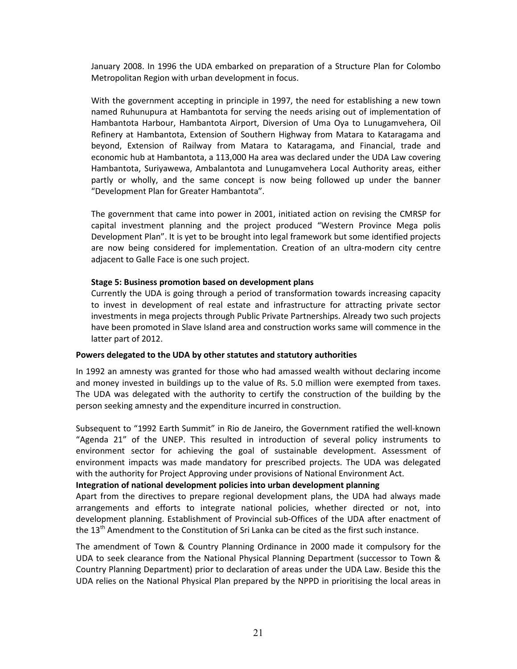January 2008. In 1996 the UDA embarked on preparation of a Structure Plan for Colombo Metropolitan Region with urban development in focus.

With the government accepting in principle in 1997, the need for establishing a new town named Ruhunupura at Hambantota for serving the needs arising out of implementation of Hambantota Harbour, Hambantota Airport, Diversion of Uma Oya to Lunugamvehera, Oil Refinery at Hambantota, Extension of Southern Highway from Matara to Kataragama and beyond, Extension of Railway from Matara to Kataragama, and Financial, trade and economic hub at Hambantota, a 113,000 Ha area was declared under the UDA Law covering Hambantota, Suriyawewa, Ambalantota and Lunugamvehera Local Authority areas, either partly or wholly, and the same concept is now being followed up under the banner "Development Plan for Greater Hambantota".

The government that came into power in 2001, initiated action on revising the CMRSP for capital investment planning and the project produced "Western Province Mega polis Development Plan". It is yet to be brought into legal framework but some identified projects are now being considered for implementation. Creation of an ultra-modern city centre adjacent to Galle Face is one such project.

#### **Stage 5: Business promotion based on development plans**

Currently the UDA is going through a period of transformation towards increasing capacity to invest in development of real estate and infrastructure for attracting private sector investments in mega projects through Public Private Partnerships. Already two such projects have been promoted in Slave Island area and construction works same will commence in the latter part of 2012.

#### **Powers delegated to the UDA by other statutes and statutory authorities**

In 1992 an amnesty was granted for those who had amassed wealth without declaring income and money invested in buildings up to the value of Rs. 5.0 million were exempted from taxes. The UDA was delegated with the authority to certify the construction of the building by the person seeking amnesty and the expenditure incurred in construction.

Subsequent to "1992 Earth Summit" in Rio de Janeiro, the Government ratified the well-known "Agenda 21" of the UNEP. This resulted in introduction of several policy instruments to environment sector for achieving the goal of sustainable development. Assessment of environment impacts was made mandatory for prescribed projects. The UDA was delegated with the authority for Project Approving under provisions of National Environment Act.

#### **Integration of national development policies into urban development planning**

Apart from the directives to prepare regional development plans, the UDA had always made arrangements and efforts to integrate national policies, whether directed or not, into development planning. Establishment of Provincial sub-Offices of the UDA after enactment of the  $13<sup>th</sup>$  Amendment to the Constitution of Sri Lanka can be cited as the first such instance.

The amendment of Town & Country Planning Ordinance in 2000 made it compulsory for the UDA to seek clearance from the National Physical Planning Department (successor to Town & Country Planning Department) prior to declaration of areas under the UDA Law. Beside this the UDA relies on the National Physical Plan prepared by the NPPD in prioritising the local areas in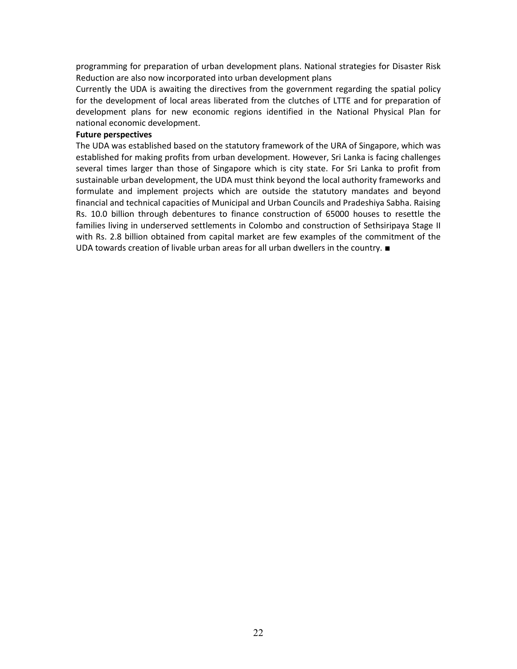programming for preparation of urban development plans. National strategies for Disaster Risk Reduction are also now incorporated into urban development plans

Currently the UDA is awaiting the directives from the government regarding the spatial policy for the development of local areas liberated from the clutches of LTTE and for preparation of development plans for new economic regions identified in the National Physical Plan for national economic development.

#### **Future perspectives**

The UDA was established based on the statutory framework of the URA of Singapore, which was established for making profits from urban development. However, Sri Lanka is facing challenges several times larger than those of Singapore which is city state. For Sri Lanka to profit from sustainable urban development, the UDA must think beyond the local authority frameworks and formulate and implement projects which are outside the statutory mandates and beyond financial and technical capacities of Municipal and Urban Councils and Pradeshiya Sabha. Raising Rs. 10.0 billion through debentures to finance construction of 65000 houses to resettle the families living in underserved settlements in Colombo and construction of Sethsiripaya Stage II with Rs. 2.8 billion obtained from capital market are few examples of the commitment of the UDA towards creation of livable urban areas for all urban dwellers in the country. ■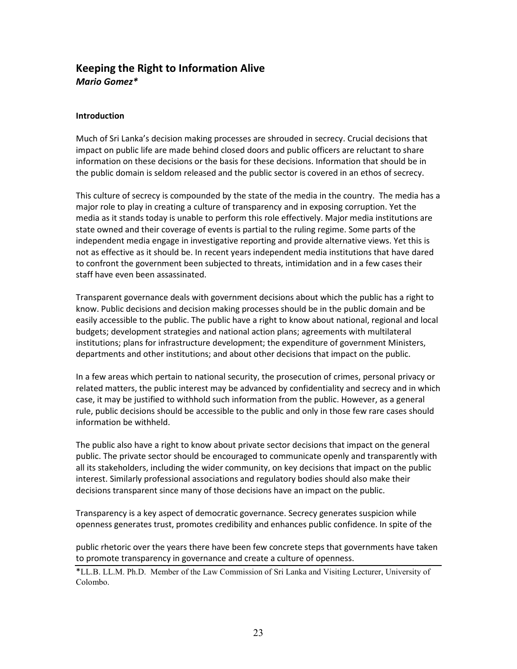# **Keeping the Right to Information Alive**  *Mario Gomez\**

# **Introduction**

Much of Sri Lanka's decision making processes are shrouded in secrecy. Crucial decisions that impact on public life are made behind closed doors and public officers are reluctant to share information on these decisions or the basis for these decisions. Information that should be in the public domain is seldom released and the public sector is covered in an ethos of secrecy.

This culture of secrecy is compounded by the state of the media in the country. The media has a major role to play in creating a culture of transparency and in exposing corruption. Yet the media as it stands today is unable to perform this role effectively. Major media institutions are state owned and their coverage of events is partial to the ruling regime. Some parts of the independent media engage in investigative reporting and provide alternative views. Yet this is not as effective as it should be. In recent years independent media institutions that have dared to confront the government been subjected to threats, intimidation and in a few cases their staff have even been assassinated.

Transparent governance deals with government decisions about which the public has a right to know. Public decisions and decision making processes should be in the public domain and be easily accessible to the public. The public have a right to know about national, regional and local budgets; development strategies and national action plans; agreements with multilateral institutions; plans for infrastructure development; the expenditure of government Ministers, departments and other institutions; and about other decisions that impact on the public.

In a few areas which pertain to national security, the prosecution of crimes, personal privacy or related matters, the public interest may be advanced by confidentiality and secrecy and in which case, it may be justified to withhold such information from the public. However, as a general rule, public decisions should be accessible to the public and only in those few rare cases should information be withheld.

The public also have a right to know about private sector decisions that impact on the general public. The private sector should be encouraged to communicate openly and transparently with all its stakeholders, including the wider community, on key decisions that impact on the public interest. Similarly professional associations and regulatory bodies should also make their decisions transparent since many of those decisions have an impact on the public.

Transparency is a key aspect of democratic governance. Secrecy generates suspicion while openness generates trust, promotes credibility and enhances public confidence. In spite of the

public rhetoric over the years there have been few concrete steps that governments have taken to promote transparency in governance and create a culture of openness.

\*LL.B. LL.M. Ph.D. Member of the Law Commission of Sri Lanka and Visiting Lecturer, University of Colombo.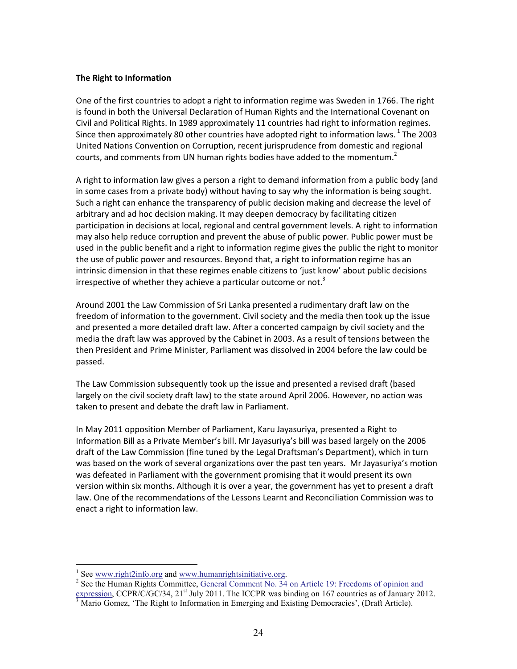#### **The Right to Information**

One of the first countries to adopt a right to information regime was Sweden in 1766. The right is found in both the Universal Declaration of Human Rights and the International Covenant on Civil and Political Rights. In 1989 approximately 11 countries had right to information regimes. Since then approximately 80 other countries have adopted right to information laws.<sup>1</sup> The 2003 United Nations Convention on Corruption, recent jurisprudence from domestic and regional courts, and comments from UN human rights bodies have added to the momentum.<sup>2</sup>

A right to information law gives a person a right to demand information from a public body (and in some cases from a private body) without having to say why the information is being sought. Such a right can enhance the transparency of public decision making and decrease the level of arbitrary and ad hoc decision making. It may deepen democracy by facilitating citizen participation in decisions at local, regional and central government levels. A right to information may also help reduce corruption and prevent the abuse of public power. Public power must be used in the public benefit and a right to information regime gives the public the right to monitor the use of public power and resources. Beyond that, a right to information regime has an intrinsic dimension in that these regimes enable citizens to 'just know' about public decisions irrespective of whether they achieve a particular outcome or not.<sup>3</sup>

Around 2001 the Law Commission of Sri Lanka presented a rudimentary draft law on the freedom of information to the government. Civil society and the media then took up the issue and presented a more detailed draft law. After a concerted campaign by civil society and the media the draft law was approved by the Cabinet in 2003. As a result of tensions between the then President and Prime Minister, Parliament was dissolved in 2004 before the law could be passed.

The Law Commission subsequently took up the issue and presented a revised draft (based largely on the civil society draft law) to the state around April 2006. However, no action was taken to present and debate the draft law in Parliament.

In May 2011 opposition Member of Parliament, Karu Jayasuriya, presented a Right to Information Bill as a Private Member's bill. Mr Jayasuriya's bill was based largely on the 2006 draft of the Law Commission (fine tuned by the Legal Draftsman's Department), which in turn was based on the work of several organizations over the past ten years. Mr Jayasuriya's motion was defeated in Parliament with the government promising that it would present its own version within six months. Although it is over a year, the government has yet to present a draft law. One of the recommendations of the Lessons Learnt and Reconciliation Commission was to enact a right to information law.

<u>.</u>

<sup>&</sup>lt;sup>1</sup> See www.right2info.org and www.humanrightsinitiative.org.

<sup>&</sup>lt;sup>2</sup> See the Human Rights Committee, General Comment No. 34 on Article 19: Freedoms of opinion and expression, CCPR/C/GC/34, 21<sup>st</sup> July 2011. The ICCPR was binding on 167 countries as of January 2012.

<sup>&</sup>lt;sup>3</sup> Mario Gomez, 'The Right to Information in Emerging and Existing Democracies', (Draft Article).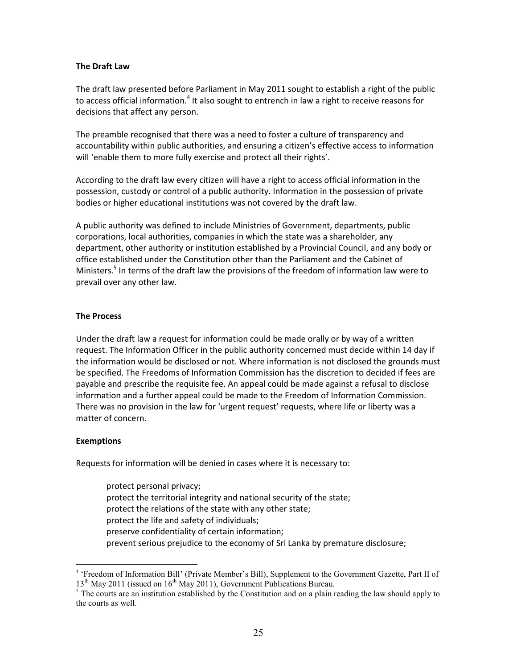#### **The Draft Law**

The draft law presented before Parliament in May 2011 sought to establish a right of the public to access official information.<sup>4</sup> It also sought to entrench in law a right to receive reasons for decisions that affect any person.

The preamble recognised that there was a need to foster a culture of transparency and accountability within public authorities, and ensuring a citizen's effective access to information will 'enable them to more fully exercise and protect all their rights'.

According to the draft law every citizen will have a right to access official information in the possession, custody or control of a public authority. Information in the possession of private bodies or higher educational institutions was not covered by the draft law.

A public authority was defined to include Ministries of Government, departments, public corporations, local authorities, companies in which the state was a shareholder, any department, other authority or institution established by a Provincial Council, and any body or office established under the Constitution other than the Parliament and the Cabinet of Ministers.<sup>5</sup> In terms of the draft law the provisions of the freedom of information law were to prevail over any other law.

# **The Process**

Under the draft law a request for information could be made orally or by way of a written request. The Information Officer in the public authority concerned must decide within 14 day if the information would be disclosed or not. Where information is not disclosed the grounds must be specified. The Freedoms of Information Commission has the discretion to decided if fees are payable and prescribe the requisite fee. An appeal could be made against a refusal to disclose information and a further appeal could be made to the Freedom of Information Commission. There was no provision in the law for 'urgent request' requests, where life or liberty was a matter of concern.

# **Exemptions**

<u>.</u>

Requests for information will be denied in cases where it is necessary to:

protect personal privacy; protect the territorial integrity and national security of the state; protect the relations of the state with any other state; protect the life and safety of individuals; preserve confidentiality of certain information; prevent serious prejudice to the economy of Sri Lanka by premature disclosure;

<sup>&</sup>lt;sup>4</sup> 'Freedom of Information Bill' (Private Member's Bill), Supplement to the Government Gazette, Part II of  $13<sup>th</sup>$  May 2011 (issued on  $16<sup>th</sup>$  May 2011), Government Publications Bureau.

 $<sup>5</sup>$  The courts are an institution established by the Constitution and on a plain reading the law should apply to</sup> the courts as well.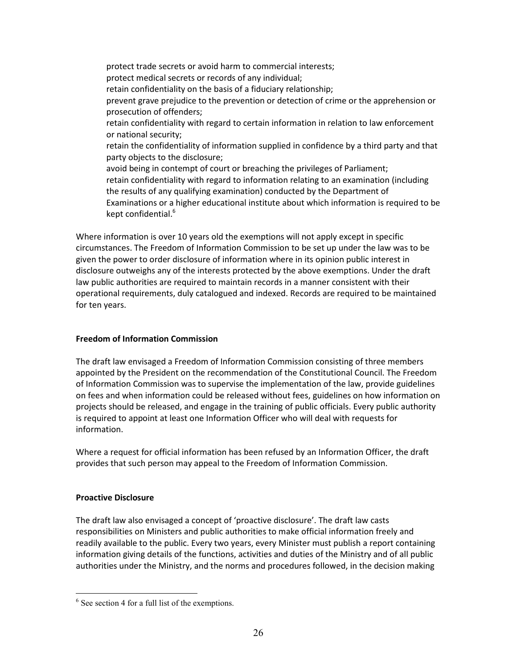protect trade secrets or avoid harm to commercial interests; protect medical secrets or records of any individual; retain confidentiality on the basis of a fiduciary relationship; prevent grave prejudice to the prevention or detection of crime or the apprehension or prosecution of offenders; retain confidentiality with regard to certain information in relation to law enforcement or national security; retain the confidentiality of information supplied in confidence by a third party and that party objects to the disclosure; avoid being in contempt of court or breaching the privileges of Parliament; retain confidentiality with regard to information relating to an examination (including the results of any qualifying examination) conducted by the Department of Examinations or a higher educational institute about which information is required to be kept confidential.<sup>6</sup>

Where information is over 10 years old the exemptions will not apply except in specific circumstances. The Freedom of Information Commission to be set up under the law was to be given the power to order disclosure of information where in its opinion public interest in disclosure outweighs any of the interests protected by the above exemptions. Under the draft law public authorities are required to maintain records in a manner consistent with their operational requirements, duly catalogued and indexed. Records are required to be maintained for ten years.

# **Freedom of Information Commission**

The draft law envisaged a Freedom of Information Commission consisting of three members appointed by the President on the recommendation of the Constitutional Council. The Freedom of Information Commission was to supervise the implementation of the law, provide guidelines on fees and when information could be released without fees, guidelines on how information on projects should be released, and engage in the training of public officials. Every public authority is required to appoint at least one Information Officer who will deal with requests for information.

Where a request for official information has been refused by an Information Officer, the draft provides that such person may appeal to the Freedom of Information Commission.

# **Proactive Disclosure**

<u>.</u>

The draft law also envisaged a concept of 'proactive disclosure'. The draft law casts responsibilities on Ministers and public authorities to make official information freely and readily available to the public. Every two years, every Minister must publish a report containing information giving details of the functions, activities and duties of the Ministry and of all public authorities under the Ministry, and the norms and procedures followed, in the decision making

<sup>6</sup> See section 4 for a full list of the exemptions.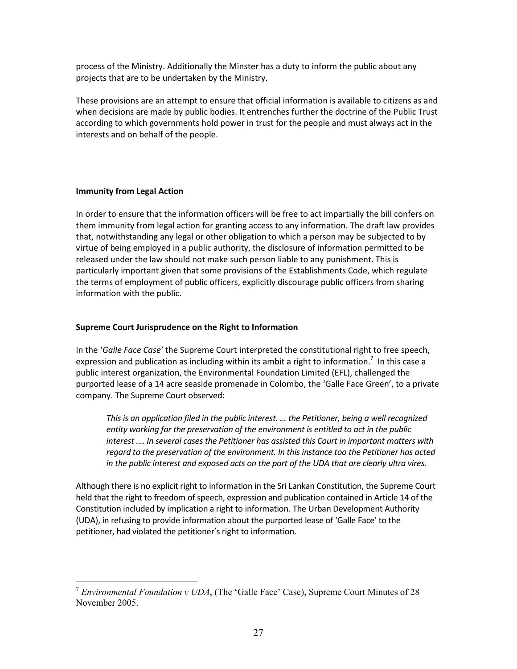process of the Ministry. Additionally the Minster has a duty to inform the public about any projects that are to be undertaken by the Ministry.

These provisions are an attempt to ensure that official information is available to citizens as and when decisions are made by public bodies. It entrenches further the doctrine of the Public Trust according to which governments hold power in trust for the people and must always act in the interests and on behalf of the people.

# **Immunity from Legal Action**

<u>.</u>

In order to ensure that the information officers will be free to act impartially the bill confers on them immunity from legal action for granting access to any information. The draft law provides that, notwithstanding any legal or other obligation to which a person may be subjected to by virtue of being employed in a public authority, the disclosure of information permitted to be released under the law should not make such person liable to any punishment. This is particularly important given that some provisions of the Establishments Code, which regulate the terms of employment of public officers, explicitly discourage public officers from sharing information with the public.

# **Supreme Court Jurisprudence on the Right to Information**

In the '*Galle Face Case'* the Supreme Court interpreted the constitutional right to free speech, expression and publication as including within its ambit a right to information.<sup>7</sup> In this case a public interest organization, the Environmental Foundation Limited (EFL), challenged the purported lease of a 14 acre seaside promenade in Colombo, the 'Galle Face Green', to a private company. The Supreme Court observed:

*This is an application filed in the public interest. … the Petitioner, being a well recognized entity working for the preservation of the environment is entitled to act in the public interest …. In several cases the Petitioner has assisted this Court in important matters with regard to the preservation of the environment. In this instance too the Petitioner has acted in the public interest and exposed acts on the part of the UDA that are clearly ultra vires.* 

Although there is no explicit right to information in the Sri Lankan Constitution, the Supreme Court held that the right to freedom of speech, expression and publication contained in Article 14 of the Constitution included by implication a right to information. The Urban Development Authority (UDA), in refusing to provide information about the purported lease of 'Galle Face' to the petitioner, had violated the petitioner's right to information.

<sup>7</sup> *Environmental Foundation v UDA*, (The 'Galle Face' Case), Supreme Court Minutes of 28 November 2005.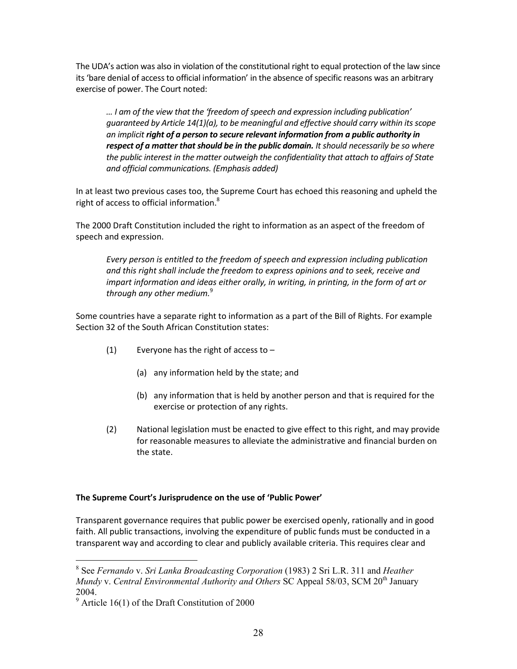The UDA's action was also in violation of the constitutional right to equal protection of the law since its 'bare denial of access to official information' in the absence of specific reasons was an arbitrary exercise of power. The Court noted:

*… I am of the view that the 'freedom of speech and expression including publication' guaranteed by Article 14(1)(a), to be meaningful and effective should carry within its scope an implicit right of a person to secure relevant information from a public authority in respect of a matter that should be in the public domain. It should necessarily be so where the public interest in the matter outweigh the confidentiality that attach to affairs of State and official communications. (Emphasis added)*

In at least two previous cases too, the Supreme Court has echoed this reasoning and upheld the right of access to official information.<sup>8</sup>

The 2000 Draft Constitution included the right to information as an aspect of the freedom of speech and expression.

*Every person is entitled to the freedom of speech and expression including publication and this right shall include the freedom to express opinions and to seek, receive and impart information and ideas either orally, in writing, in printing, in the form of art or through any other medium.*<sup>9</sup>

Some countries have a separate right to information as a part of the Bill of Rights. For example Section 32 of the South African Constitution states:

- (1) Everyone has the right of access to  $-$ 
	- (a) any information held by the state; and
	- (b) any information that is held by another person and that is required for the exercise or protection of any rights.
- (2) National legislation must be enacted to give effect to this right, and may provide for reasonable measures to alleviate the administrative and financial burden on the state.

# **The Supreme Court's Jurisprudence on the use of 'Public Power'**

Transparent governance requires that public power be exercised openly, rationally and in good faith. All public transactions, involving the expenditure of public funds must be conducted in a transparent way and according to clear and publicly available criteria. This requires clear and

-

<sup>8</sup> See *Fernando* v. *Sri Lanka Broadcasting Corporation* (1983) 2 Sri L.R. 311 and *Heather Mundy v. Central Environmental Authority and Others SC Appeal 58/03, SCM 20<sup>th</sup> January* 2004.

 $9$  Article 16(1) of the Draft Constitution of 2000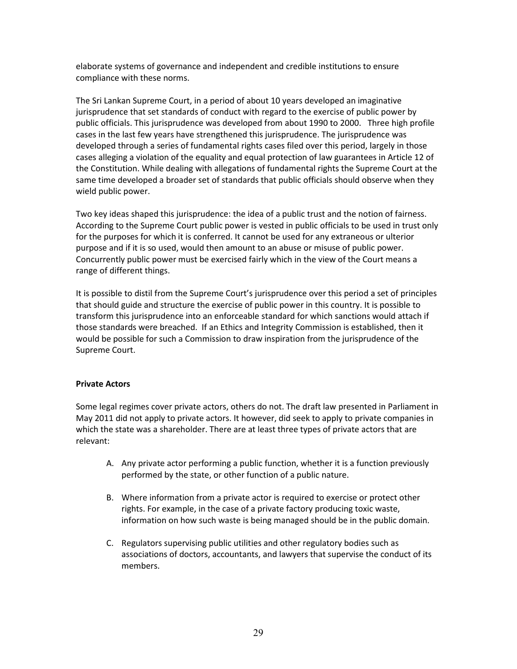elaborate systems of governance and independent and credible institutions to ensure compliance with these norms.

The Sri Lankan Supreme Court, in a period of about 10 years developed an imaginative jurisprudence that set standards of conduct with regard to the exercise of public power by public officials. This jurisprudence was developed from about 1990 to 2000. Three high profile cases in the last few years have strengthened this jurisprudence. The jurisprudence was developed through a series of fundamental rights cases filed over this period, largely in those cases alleging a violation of the equality and equal protection of law guarantees in Article 12 of the Constitution. While dealing with allegations of fundamental rights the Supreme Court at the same time developed a broader set of standards that public officials should observe when they wield public power.

Two key ideas shaped this jurisprudence: the idea of a public trust and the notion of fairness. According to the Supreme Court public power is vested in public officials to be used in trust only for the purposes for which it is conferred. It cannot be used for any extraneous or ulterior purpose and if it is so used, would then amount to an abuse or misuse of public power. Concurrently public power must be exercised fairly which in the view of the Court means a range of different things.

It is possible to distil from the Supreme Court's jurisprudence over this period a set of principles that should guide and structure the exercise of public power in this country. It is possible to transform this jurisprudence into an enforceable standard for which sanctions would attach if those standards were breached. If an Ethics and Integrity Commission is established, then it would be possible for such a Commission to draw inspiration from the jurisprudence of the Supreme Court.

# **Private Actors**

Some legal regimes cover private actors, others do not. The draft law presented in Parliament in May 2011 did not apply to private actors. It however, did seek to apply to private companies in which the state was a shareholder. There are at least three types of private actors that are relevant:

- A. Any private actor performing a public function, whether it is a function previously performed by the state, or other function of a public nature.
- B. Where information from a private actor is required to exercise or protect other rights. For example, in the case of a private factory producing toxic waste, information on how such waste is being managed should be in the public domain.
- C. Regulators supervising public utilities and other regulatory bodies such as associations of doctors, accountants, and lawyers that supervise the conduct of its members.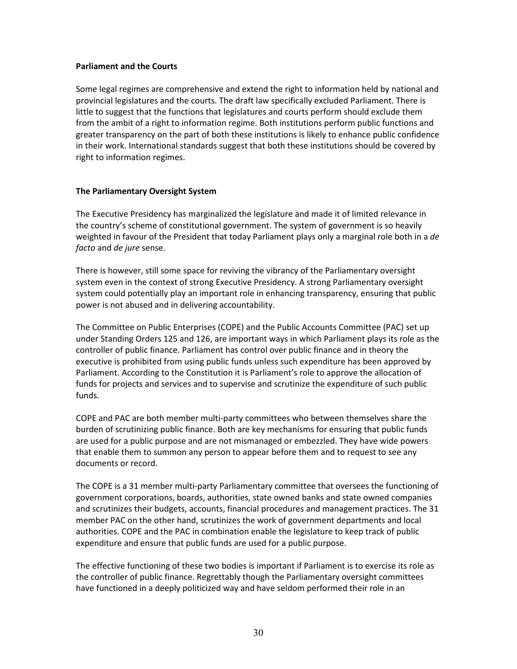#### **Parliament and the Courts**

Some legal regimes are comprehensive and extend the right to information held by national and provincial legislatures and the courts. The draft law specifically excluded Parliament. There is little to suggest that the functions that legislatures and courts perform should exclude them from the ambit of a right to information regime. Both institutions perform public functions and greater transparency on the part of both these institutions is likely to enhance public confidence in their work. International standards suggest that both these institutions should be covered by right to information regimes.

# **The Parliamentary Oversight System**

The Executive Presidency has marginalized the legislature and made it of limited relevance in the country's scheme of constitutional government. The system of government is so heavily weighted in favour of the President that today Parliament plays only a marginal role both in a *de facto* and *de jure* sense.

There is however, still some space for reviving the vibrancy of the Parliamentary oversight system even in the context of strong Executive Presidency. A strong Parliamentary oversight system could potentially play an important role in enhancing transparency, ensuring that public power is not abused and in delivering accountability.

The Committee on Public Enterprises (COPE) and the Public Accounts Committee (PAC) set up under Standing Orders 125 and 126, are important ways in which Parliament plays its role as the controller of public finance. Parliament has control over public finance and in theory the executive is prohibited from using public funds unless such expenditure has been approved by Parliament. According to the Constitution it is Parliament's role to approve the allocation of funds for projects and services and to supervise and scrutinize the expenditure of such public funds.

COPE and PAC are both member multi-party committees who between themselves share the burden of scrutinizing public finance. Both are key mechanisms for ensuring that public funds are used for a public purpose and are not mismanaged or embezzled. They have wide powers that enable them to summon any person to appear before them and to request to see any documents or record.

The COPE is a 31 member multi-party Parliamentary committee that oversees the functioning of government corporations, boards, authorities, state owned banks and state owned companies and scrutinizes their budgets, accounts, financial procedures and management practices. The 31 member PAC on the other hand, scrutinizes the work of government departments and local authorities. COPE and the PAC in combination enable the legislature to keep track of public expenditure and ensure that public funds are used for a public purpose.

The effective functioning of these two bodies is important if Parliament is to exercise its role as the controller of public finance. Regrettably though the Parliamentary oversight committees have functioned in a deeply politicized way and have seldom performed their role in an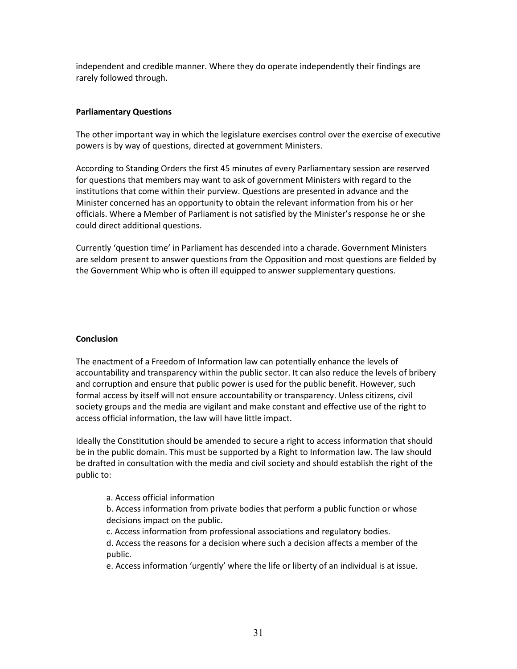independent and credible manner. Where they do operate independently their findings are rarely followed through.

# **Parliamentary Questions**

The other important way in which the legislature exercises control over the exercise of executive powers is by way of questions, directed at government Ministers.

According to Standing Orders the first 45 minutes of every Parliamentary session are reserved for questions that members may want to ask of government Ministers with regard to the institutions that come within their purview. Questions are presented in advance and the Minister concerned has an opportunity to obtain the relevant information from his or her officials. Where a Member of Parliament is not satisfied by the Minister's response he or she could direct additional questions.

Currently 'question time' in Parliament has descended into a charade. Government Ministers are seldom present to answer questions from the Opposition and most questions are fielded by the Government Whip who is often ill equipped to answer supplementary questions.

# **Conclusion**

The enactment of a Freedom of Information law can potentially enhance the levels of accountability and transparency within the public sector. It can also reduce the levels of bribery and corruption and ensure that public power is used for the public benefit. However, such formal access by itself will not ensure accountability or transparency. Unless citizens, civil society groups and the media are vigilant and make constant and effective use of the right to access official information, the law will have little impact.

Ideally the Constitution should be amended to secure a right to access information that should be in the public domain. This must be supported by a Right to Information law. The law should be drafted in consultation with the media and civil society and should establish the right of the public to:

# a. Access official information

b. Access information from private bodies that perform a public function or whose decisions impact on the public.

c. Access information from professional associations and regulatory bodies.

d. Access the reasons for a decision where such a decision affects a member of the public.

e. Access information 'urgently' where the life or liberty of an individual is at issue.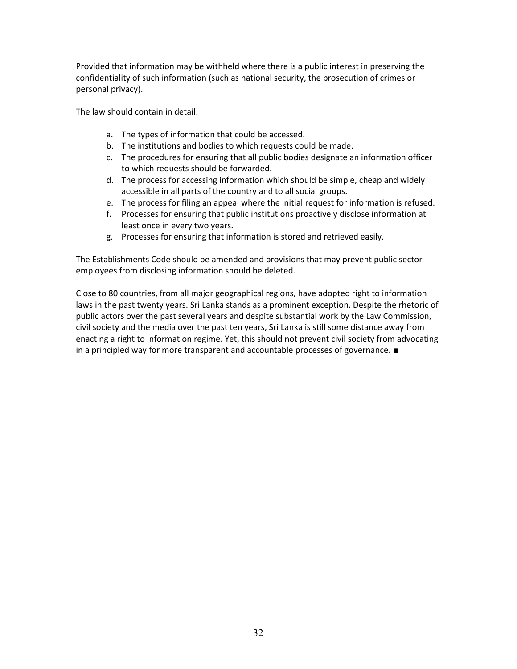Provided that information may be withheld where there is a public interest in preserving the confidentiality of such information (such as national security, the prosecution of crimes or personal privacy).

The law should contain in detail:

- a. The types of information that could be accessed.
- b. The institutions and bodies to which requests could be made.
- c. The procedures for ensuring that all public bodies designate an information officer to which requests should be forwarded.
- d. The process for accessing information which should be simple, cheap and widely accessible in all parts of the country and to all social groups.
- e. The process for filing an appeal where the initial request for information is refused.
- f. Processes for ensuring that public institutions proactively disclose information at least once in every two years.
- g. Processes for ensuring that information is stored and retrieved easily.

The Establishments Code should be amended and provisions that may prevent public sector employees from disclosing information should be deleted.

Close to 80 countries, from all major geographical regions, have adopted right to information laws in the past twenty years. Sri Lanka stands as a prominent exception. Despite the rhetoric of public actors over the past several years and despite substantial work by the Law Commission, civil society and the media over the past ten years, Sri Lanka is still some distance away from enacting a right to information regime. Yet, this should not prevent civil society from advocating in a principled way for more transparent and accountable processes of governance. ■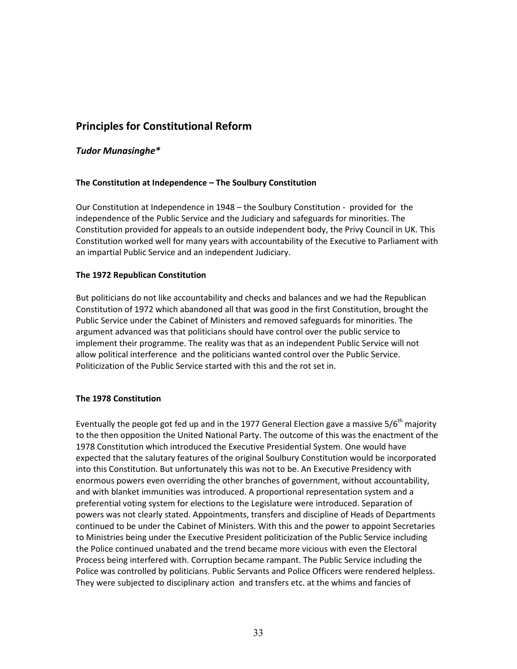# **Principles for Constitutional Reform**

# *Tudor Munasinghe\**

# **The Constitution at Independence – The Soulbury Constitution**

Our Constitution at Independence in 1948 – the Soulbury Constitution - provided for the independence of the Public Service and the Judiciary and safeguards for minorities. The Constitution provided for appeals to an outside independent body, the Privy Council in UK. This Constitution worked well for many years with accountability of the Executive to Parliament with an impartial Public Service and an independent Judiciary.

# **The 1972 Republican Constitution**

But politicians do not like accountability and checks and balances and we had the Republican Constitution of 1972 which abandoned all that was good in the first Constitution, brought the Public Service under the Cabinet of Ministers and removed safeguards for minorities. The argument advanced was that politicians should have control over the public service to implement their programme. The reality was that as an independent Public Service will not allow political interference and the politicians wanted control over the Public Service. Politicization of the Public Service started with this and the rot set in.

# **The 1978 Constitution**

Eventually the people got fed up and in the 1977 General Election gave a massive 5/6<sup>th</sup> majority to the then opposition the United National Party. The outcome of this was the enactment of the 1978 Constitution which introduced the Executive Presidential System. One would have expected that the salutary features of the original Soulbury Constitution would be incorporated into this Constitution. But unfortunately this was not to be. An Executive Presidency with enormous powers even overriding the other branches of government, without accountability, and with blanket immunities was introduced. A proportional representation system and a preferential voting system for elections to the Legislature were introduced. Separation of powers was not clearly stated. Appointments, transfers and discipline of Heads of Departments continued to be under the Cabinet of Ministers. With this and the power to appoint Secretaries to Ministries being under the Executive President politicization of the Public Service including the Police continued unabated and the trend became more vicious with even the Electoral Process being interfered with. Corruption became rampant. The Public Service including the Police was controlled by politicians. Public Servants and Police Officers were rendered helpless. They were subjected to disciplinary action and transfers etc. at the whims and fancies of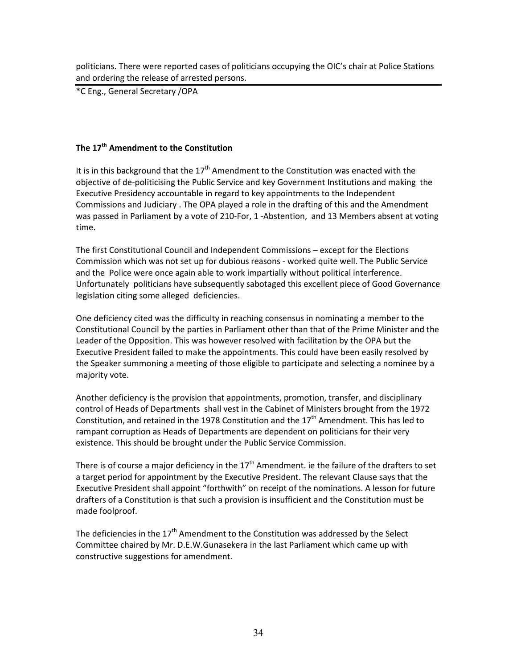politicians. There were reported cases of politicians occupying the OIC's chair at Police Stations and ordering the release of arrested persons.

\*C Eng., General Secretary /OPA

# **The 17th Amendment to the Constitution**

It is in this background that the  $17<sup>th</sup>$  Amendment to the Constitution was enacted with the objective of de-politicising the Public Service and key Government Institutions and making the Executive Presidency accountable in regard to key appointments to the Independent Commissions and Judiciary . The OPA played a role in the drafting of this and the Amendment was passed in Parliament by a vote of 210-For, 1 -Abstention, and 13 Members absent at voting time.

The first Constitutional Council and Independent Commissions – except for the Elections Commission which was not set up for dubious reasons - worked quite well. The Public Service and the Police were once again able to work impartially without political interference. Unfortunately politicians have subsequently sabotaged this excellent piece of Good Governance legislation citing some alleged deficiencies.

One deficiency cited was the difficulty in reaching consensus in nominating a member to the Constitutional Council by the parties in Parliament other than that of the Prime Minister and the Leader of the Opposition. This was however resolved with facilitation by the OPA but the Executive President failed to make the appointments. This could have been easily resolved by the Speaker summoning a meeting of those eligible to participate and selecting a nominee by a majority vote.

Another deficiency is the provision that appointments, promotion, transfer, and disciplinary control of Heads of Departments shall vest in the Cabinet of Ministers brought from the 1972 Constitution, and retained in the 1978 Constitution and the  $17<sup>th</sup>$  Amendment. This has led to rampant corruption as Heads of Departments are dependent on politicians for their very existence. This should be brought under the Public Service Commission.

There is of course a major deficiency in the  $17<sup>th</sup>$  Amendment. ie the failure of the drafters to set a target period for appointment by the Executive President. The relevant Clause says that the Executive President shall appoint "forthwith" on receipt of the nominations. A lesson for future drafters of a Constitution is that such a provision is insufficient and the Constitution must be made foolproof.

The deficiencies in the  $17<sup>th</sup>$  Amendment to the Constitution was addressed by the Select Committee chaired by Mr. D.E.W.Gunasekera in the last Parliament which came up with constructive suggestions for amendment.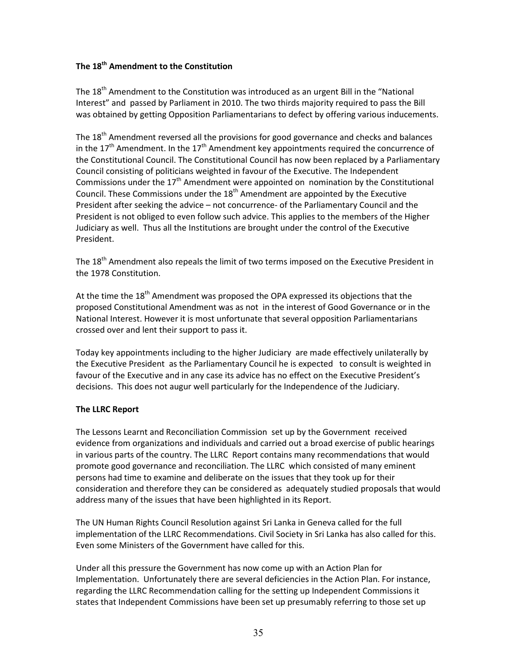# **The 18th Amendment to the Constitution**

The 18<sup>th</sup> Amendment to the Constitution was introduced as an urgent Bill in the "National Interest" and passed by Parliament in 2010. The two thirds majority required to pass the Bill was obtained by getting Opposition Parliamentarians to defect by offering various inducements.

The 18<sup>th</sup> Amendment reversed all the provisions for good governance and checks and balances in the  $17<sup>th</sup>$  Amendment. In the  $17<sup>th</sup>$  Amendment key appointments required the concurrence of the Constitutional Council. The Constitutional Council has now been replaced by a Parliamentary Council consisting of politicians weighted in favour of the Executive. The Independent Commissions under the  $17<sup>th</sup>$  Amendment were appointed on nomination by the Constitutional Council. These Commissions under the  $18<sup>th</sup>$  Amendment are appointed by the Executive President after seeking the advice – not concurrence- of the Parliamentary Council and the President is not obliged to even follow such advice. This applies to the members of the Higher Judiciary as well. Thus all the Institutions are brought under the control of the Executive President.

The 18<sup>th</sup> Amendment also repeals the limit of two terms imposed on the Executive President in the 1978 Constitution.

At the time the  $18<sup>th</sup>$  Amendment was proposed the OPA expressed its objections that the proposed Constitutional Amendment was as not in the interest of Good Governance or in the National Interest. However it is most unfortunate that several opposition Parliamentarians crossed over and lent their support to pass it.

Today key appointments including to the higher Judiciary are made effectively unilaterally by the Executive President as the Parliamentary Council he is expected to consult is weighted in favour of the Executive and in any case its advice has no effect on the Executive President's decisions. This does not augur well particularly for the Independence of the Judiciary.

# **The LLRC Report**

The Lessons Learnt and Reconciliation Commission set up by the Government received evidence from organizations and individuals and carried out a broad exercise of public hearings in various parts of the country. The LLRC Report contains many recommendations that would promote good governance and reconciliation. The LLRC which consisted of many eminent persons had time to examine and deliberate on the issues that they took up for their consideration and therefore they can be considered as adequately studied proposals that would address many of the issues that have been highlighted in its Report.

The UN Human Rights Council Resolution against Sri Lanka in Geneva called for the full implementation of the LLRC Recommendations. Civil Society in Sri Lanka has also called for this. Even some Ministers of the Government have called for this.

Under all this pressure the Government has now come up with an Action Plan for Implementation. Unfortunately there are several deficiencies in the Action Plan. For instance, regarding the LLRC Recommendation calling for the setting up Independent Commissions it states that Independent Commissions have been set up presumably referring to those set up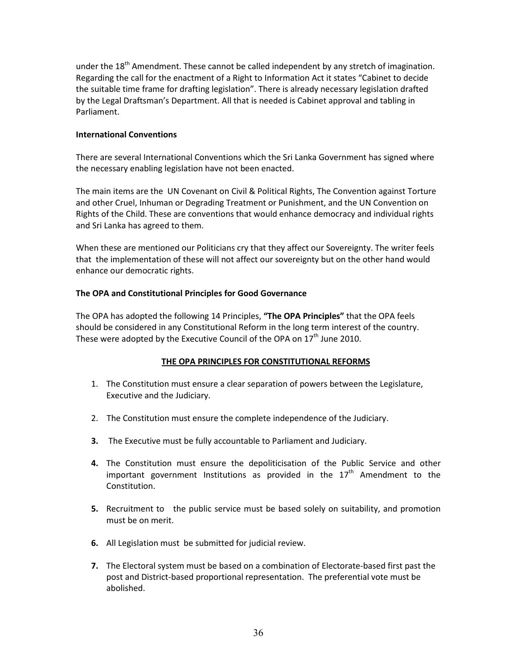under the  $18<sup>th</sup>$  Amendment. These cannot be called independent by any stretch of imagination. Regarding the call for the enactment of a Right to Information Act it states "Cabinet to decide the suitable time frame for drafting legislation". There is already necessary legislation drafted by the Legal Draftsman's Department. All that is needed is Cabinet approval and tabling in Parliament.

# **International Conventions**

There are several International Conventions which the Sri Lanka Government has signed where the necessary enabling legislation have not been enacted.

The main items are the UN Covenant on Civil & Political Rights, The Convention against Torture and other Cruel, Inhuman or Degrading Treatment or Punishment, and the UN Convention on Rights of the Child. These are conventions that would enhance democracy and individual rights and Sri Lanka has agreed to them.

When these are mentioned our Politicians cry that they affect our Sovereignty. The writer feels that the implementation of these will not affect our sovereignty but on the other hand would enhance our democratic rights.

# **The OPA and Constitutional Principles for Good Governance**

The OPA has adopted the following 14 Principles, **"The OPA Principles"** that the OPA feels should be considered in any Constitutional Reform in the long term interest of the country. These were adopted by the Executive Council of the OPA on  $17<sup>th</sup>$  June 2010.

# **THE OPA PRINCIPLES FOR CONSTITUTIONAL REFORMS**

- 1. The Constitution must ensure a clear separation of powers between the Legislature, Executive and the Judiciary.
- 2. The Constitution must ensure the complete independence of the Judiciary.
- **3.** The Executive must be fully accountable to Parliament and Judiciary.
- **4.** The Constitution must ensure the depoliticisation of the Public Service and other important government Institutions as provided in the  $17<sup>th</sup>$  Amendment to the Constitution.
- **5.** Recruitment to the public service must be based solely on suitability, and promotion must be on merit.
- **6.** All Legislation must be submitted for judicial review.
- **7.** The Electoral system must be based on a combination of Electorate-based first past the post and District-based proportional representation. The preferential vote must be abolished.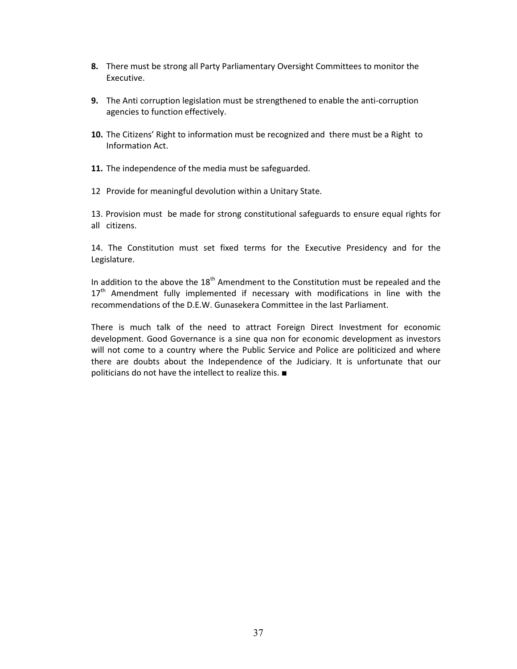- **8.** There must be strong all Party Parliamentary Oversight Committees to monitor the Executive.
- **9.** The Anti corruption legislation must be strengthened to enable the anti-corruption agencies to function effectively.
- **10.** The Citizens' Right to information must be recognized and there must be a Right to Information Act.
- **11.** The independence of the media must be safeguarded.
- 12 Provide for meaningful devolution within a Unitary State.

13. Provision must be made for strong constitutional safeguards to ensure equal rights for all citizens.

14. The Constitution must set fixed terms for the Executive Presidency and for the Legislature.

In addition to the above the  $18<sup>th</sup>$  Amendment to the Constitution must be repealed and the  $17<sup>th</sup>$  Amendment fully implemented if necessary with modifications in line with the recommendations of the D.E.W. Gunasekera Committee in the last Parliament.

There is much talk of the need to attract Foreign Direct Investment for economic development. Good Governance is a sine qua non for economic development as investors will not come to a country where the Public Service and Police are politicized and where there are doubts about the Independence of the Judiciary. It is unfortunate that our politicians do not have the intellect to realize this. ■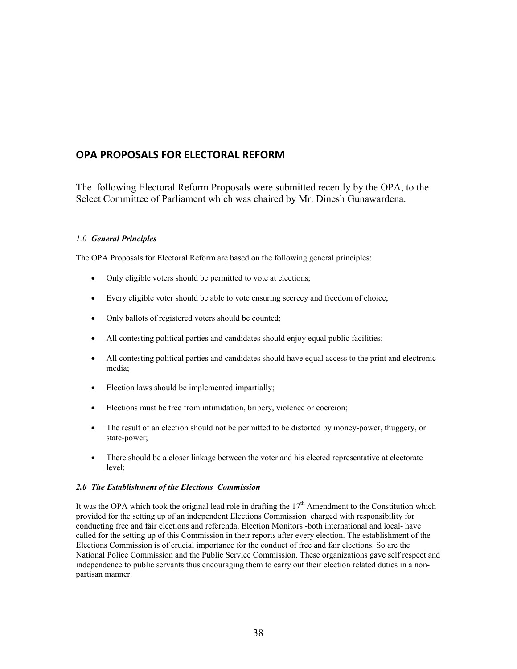# **OPA PROPOSALS FOR ELECTORAL REFORM**

The following Electoral Reform Proposals were submitted recently by the OPA, to the Select Committee of Parliament which was chaired by Mr. Dinesh Gunawardena.

#### *1.0 General Principles*

The OPA Proposals for Electoral Reform are based on the following general principles:

- Only eligible voters should be permitted to vote at elections;
- Every eligible voter should be able to vote ensuring secrecy and freedom of choice;
- Only ballots of registered voters should be counted;
- All contesting political parties and candidates should enjoy equal public facilities;
- All contesting political parties and candidates should have equal access to the print and electronic media;
- Election laws should be implemented impartially;
- Elections must be free from intimidation, bribery, violence or coercion;
- The result of an election should not be permitted to be distorted by money-power, thuggery, or state-power;
- There should be a closer linkage between the voter and his elected representative at electorate level;

#### *2.0 The Establishment of the Elections Commission*

It was the OPA which took the original lead role in drafting the  $17<sup>th</sup>$  Amendment to the Constitution which provided for the setting up of an independent Elections Commission charged with responsibility for conducting free and fair elections and referenda. Election Monitors -both international and local- have called for the setting up of this Commission in their reports after every election. The establishment of the Elections Commission is of crucial importance for the conduct of free and fair elections. So are the National Police Commission and the Public Service Commission. These organizations gave self respect and independence to public servants thus encouraging them to carry out their election related duties in a nonpartisan manner.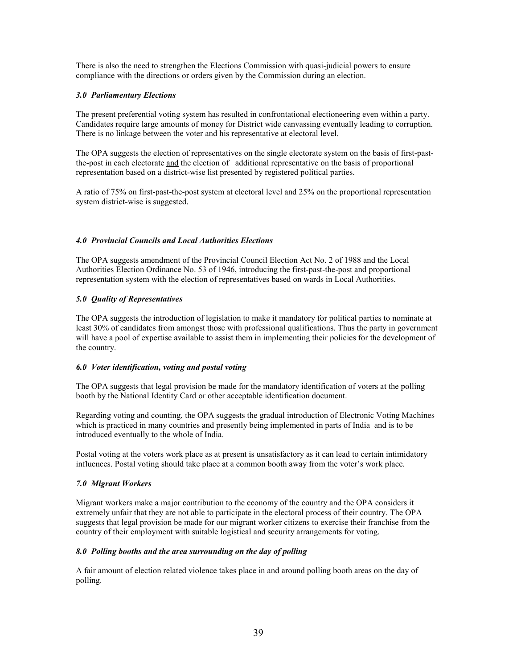There is also the need to strengthen the Elections Commission with quasi-judicial powers to ensure compliance with the directions or orders given by the Commission during an election.

#### *3.0 Parliamentary Elections*

The present preferential voting system has resulted in confrontational electioneering even within a party. Candidates require large amounts of money for District wide canvassing eventually leading to corruption. There is no linkage between the voter and his representative at electoral level.

The OPA suggests the election of representatives on the single electorate system on the basis of first-pastthe-post in each electorate and the election of additional representative on the basis of proportional representation based on a district-wise list presented by registered political parties.

A ratio of 75% on first-past-the-post system at electoral level and 25% on the proportional representation system district-wise is suggested.

#### *4.0 Provincial Councils and Local Authorities Elections*

The OPA suggests amendment of the Provincial Council Election Act No. 2 of 1988 and the Local Authorities Election Ordinance No. 53 of 1946, introducing the first-past-the-post and proportional representation system with the election of representatives based on wards in Local Authorities.

#### *5.0 Quality of Representatives*

The OPA suggests the introduction of legislation to make it mandatory for political parties to nominate at least 30% of candidates from amongst those with professional qualifications. Thus the party in government will have a pool of expertise available to assist them in implementing their policies for the development of the country.

#### *6.0 Voter identification, voting and postal voting*

The OPA suggests that legal provision be made for the mandatory identification of voters at the polling booth by the National Identity Card or other acceptable identification document.

Regarding voting and counting, the OPA suggests the gradual introduction of Electronic Voting Machines which is practiced in many countries and presently being implemented in parts of India and is to be introduced eventually to the whole of India.

Postal voting at the voters work place as at present is unsatisfactory as it can lead to certain intimidatory influences. Postal voting should take place at a common booth away from the voter's work place.

#### *7.0 Migrant Workers*

Migrant workers make a major contribution to the economy of the country and the OPA considers it extremely unfair that they are not able to participate in the electoral process of their country. The OPA suggests that legal provision be made for our migrant worker citizens to exercise their franchise from the country of their employment with suitable logistical and security arrangements for voting.

#### *8.0 Polling booths and the area surrounding on the day of polling*

A fair amount of election related violence takes place in and around polling booth areas on the day of polling.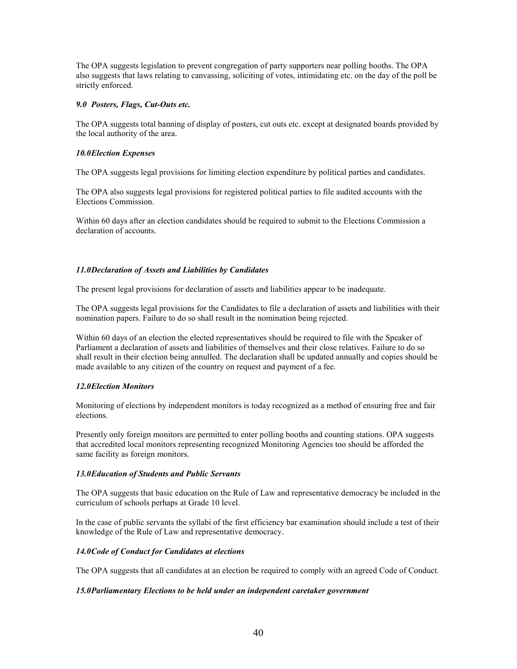The OPA suggests legislation to prevent congregation of party supporters near polling booths. The OPA also suggests that laws relating to canvassing, soliciting of votes, intimidating etc. on the day of the poll be strictly enforced.

#### *9.0 Posters, Flags, Cut-Outs etc.*

The OPA suggests total banning of display of posters, cut outs etc. except at designated boards provided by the local authority of the area.

#### *10.0Election Expenses*

The OPA suggests legal provisions for limiting election expenditure by political parties and candidates.

The OPA also suggests legal provisions for registered political parties to file audited accounts with the Elections Commission.

Within 60 days after an election candidates should be required to submit to the Elections Commission a declaration of accounts.

#### *11.0Declaration of Assets and Liabilities by Candidates*

The present legal provisions for declaration of assets and liabilities appear to be inadequate.

The OPA suggests legal provisions for the Candidates to file a declaration of assets and liabilities with their nomination papers. Failure to do so shall result in the nomination being rejected.

Within 60 days of an election the elected representatives should be required to file with the Speaker of Parliament a declaration of assets and liabilities of themselves and their close relatives. Failure to do so shall result in their election being annulled. The declaration shall be updated annually and copies should be made available to any citizen of the country on request and payment of a fee.

#### *12.0Election Monitors*

Monitoring of elections by independent monitors is today recognized as a method of ensuring free and fair elections.

Presently only foreign monitors are permitted to enter polling booths and counting stations. OPA suggests that accredited local monitors representing recognized Monitoring Agencies too should be afforded the same facility as foreign monitors.

#### *13.0Education of Students and Public Servants*

The OPA suggests that basic education on the Rule of Law and representative democracy be included in the curriculum of schools perhaps at Grade 10 level.

In the case of public servants the syllabi of the first efficiency bar examination should include a test of their knowledge of the Rule of Law and representative democracy.

#### *14.0Code of Conduct for Candidates at elections*

The OPA suggests that all candidates at an election be required to comply with an agreed Code of Conduct.

#### *15.0Parliamentary Elections to be held under an independent caretaker government*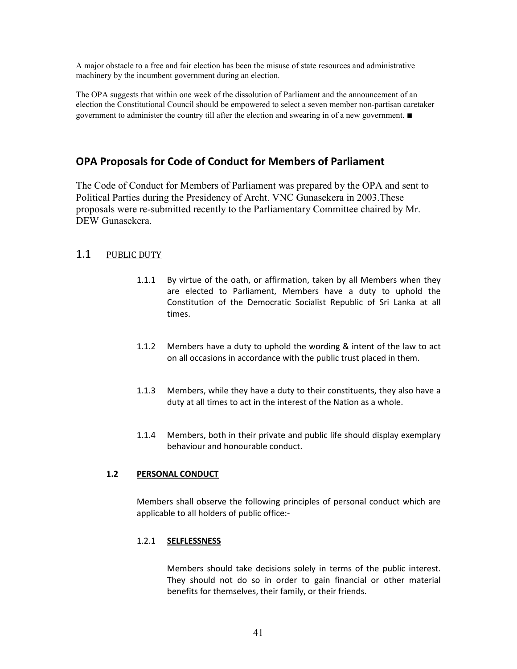A major obstacle to a free and fair election has been the misuse of state resources and administrative machinery by the incumbent government during an election.

The OPA suggests that within one week of the dissolution of Parliament and the announcement of an election the Constitutional Council should be empowered to select a seven member non-partisan caretaker government to administer the country till after the election and swearing in of a new government. ■

# **OPA Proposals for Code of Conduct for Members of Parliament**

The Code of Conduct for Members of Parliament was prepared by the OPA and sent to Political Parties during the Presidency of Archt. VNC Gunasekera in 2003.These proposals were re-submitted recently to the Parliamentary Committee chaired by Mr. DEW Gunasekera.

# 1.1 PUBLIC DUTY

- 1.1.1 By virtue of the oath, or affirmation, taken by all Members when they are elected to Parliament, Members have a duty to uphold the Constitution of the Democratic Socialist Republic of Sri Lanka at all times.
- 1.1.2 Members have a duty to uphold the wording & intent of the law to act on all occasions in accordance with the public trust placed in them.
- 1.1.3 Members, while they have a duty to their constituents, they also have a duty at all times to act in the interest of the Nation as a whole.
- 1.1.4 Members, both in their private and public life should display exemplary behaviour and honourable conduct.

# **1.2 PERSONAL CONDUCT**

Members shall observe the following principles of personal conduct which are applicable to all holders of public office:-

# 1.2.1 **SELFLESSNESS**

Members should take decisions solely in terms of the public interest. They should not do so in order to gain financial or other material benefits for themselves, their family, or their friends.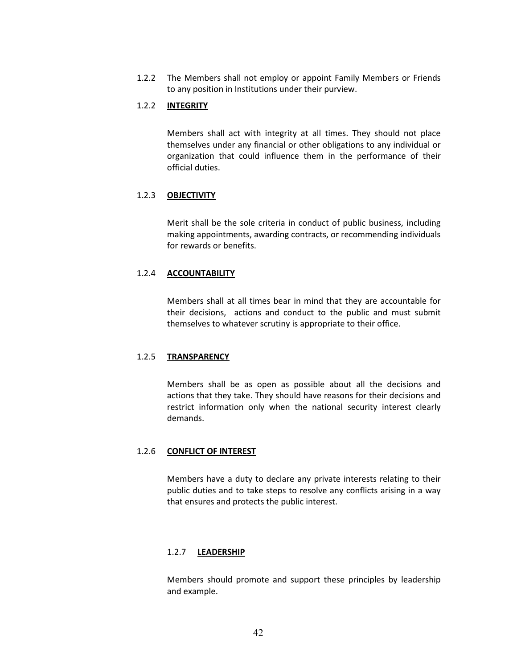1.2.2 The Members shall not employ or appoint Family Members or Friends to any position in Institutions under their purview.

#### 1.2.2 **INTEGRITY**

Members shall act with integrity at all times. They should not place themselves under any financial or other obligations to any individual or organization that could influence them in the performance of their official duties.

# 1.2.3 **OBJECTIVITY**

Merit shall be the sole criteria in conduct of public business, including making appointments, awarding contracts, or recommending individuals for rewards or benefits.

#### 1.2.4 **ACCOUNTABILITY**

Members shall at all times bear in mind that they are accountable for their decisions, actions and conduct to the public and must submit themselves to whatever scrutiny is appropriate to their office.

#### 1.2.5 **TRANSPARENCY**

Members shall be as open as possible about all the decisions and actions that they take. They should have reasons for their decisions and restrict information only when the national security interest clearly demands.

#### 1.2.6 **CONFLICT OF INTEREST**

Members have a duty to declare any private interests relating to their public duties and to take steps to resolve any conflicts arising in a way that ensures and protects the public interest.

#### 1.2.7 **LEADERSHIP**

Members should promote and support these principles by leadership and example.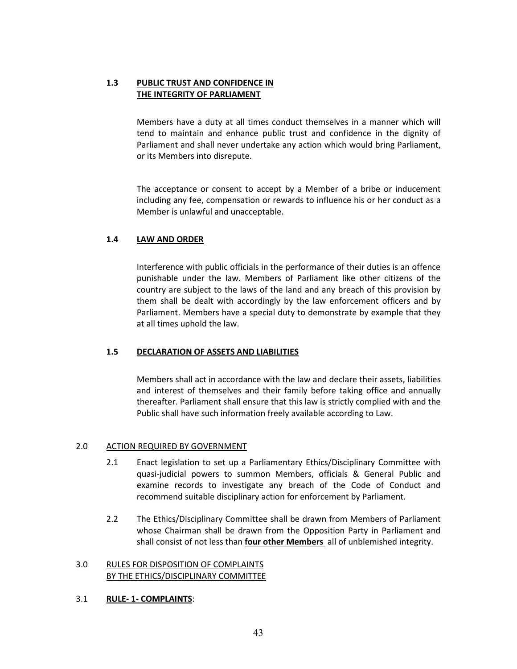# **1.3 PUBLIC TRUST AND CONFIDENCE IN THE INTEGRITY OF PARLIAMENT**

Members have a duty at all times conduct themselves in a manner which will tend to maintain and enhance public trust and confidence in the dignity of Parliament and shall never undertake any action which would bring Parliament, or its Members into disrepute.

The acceptance or consent to accept by a Member of a bribe or inducement including any fee, compensation or rewards to influence his or her conduct as a Member is unlawful and unacceptable.

# **1.4 LAW AND ORDER**

Interference with public officials in the performance of their duties is an offence punishable under the law. Members of Parliament like other citizens of the country are subject to the laws of the land and any breach of this provision by them shall be dealt with accordingly by the law enforcement officers and by Parliament. Members have a special duty to demonstrate by example that they at all times uphold the law.

# **1.5 DECLARATION OF ASSETS AND LIABILITIES**

Members shall act in accordance with the law and declare their assets, liabilities and interest of themselves and their family before taking office and annually thereafter. Parliament shall ensure that this law is strictly complied with and the Public shall have such information freely available according to Law.

# 2.0 ACTION REQUIRED BY GOVERNMENT

- 2.1 Enact legislation to set up a Parliamentary Ethics/Disciplinary Committee with quasi-judicial powers to summon Members, officials & General Public and examine records to investigate any breach of the Code of Conduct and recommend suitable disciplinary action for enforcement by Parliament.
- 2.2 The Ethics/Disciplinary Committee shall be drawn from Members of Parliament whose Chairman shall be drawn from the Opposition Party in Parliament and shall consist of not less than **four other Members** all of unblemished integrity.

# 3.0 RULES FOR DISPOSITION OF COMPLAINTS BY THE ETHICS/DISCIPLINARY COMMITTEE

# 3.1 **RULE- 1- COMPLAINTS**: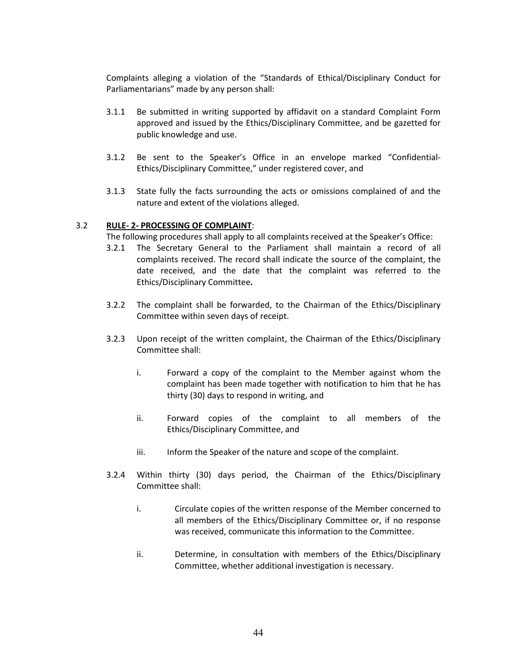Complaints alleging a violation of the "Standards of Ethical/Disciplinary Conduct for Parliamentarians" made by any person shall:

- 3.1.1 Be submitted in writing supported by affidavit on a standard Complaint Form approved and issued by the Ethics/Disciplinary Committee, and be gazetted for public knowledge and use.
- 3.1.2 Be sent to the Speaker's Office in an envelope marked "Confidential-Ethics/Disciplinary Committee," under registered cover, and
- 3.1.3 State fully the facts surrounding the acts or omissions complained of and the nature and extent of the violations alleged.

# 3.2 **RULE- 2- PROCESSING OF COMPLAINT**:

The following procedures shall apply to all complaints received at the Speaker's Office:

- 3.2.1 The Secretary General to the Parliament shall maintain a record of all complaints received. The record shall indicate the source of the complaint, the date received, and the date that the complaint was referred to the Ethics/Disciplinary Committee**.**
- 3.2.2 The complaint shall be forwarded, to the Chairman of the Ethics/Disciplinary Committee within seven days of receipt.
- 3.2.3 Upon receipt of the written complaint, the Chairman of the Ethics/Disciplinary Committee shall:
	- i. Forward a copy of the complaint to the Member against whom the complaint has been made together with notification to him that he has thirty (30) days to respond in writing, and
	- ii. Forward copies of the complaint to all members of the Ethics/Disciplinary Committee, and
	- iii. Inform the Speaker of the nature and scope of the complaint.
- 3.2.4 Within thirty (30) days period, the Chairman of the Ethics/Disciplinary Committee shall:
	- i. Circulate copies of the written response of the Member concerned to all members of the Ethics/Disciplinary Committee or, if no response was received, communicate this information to the Committee.
	- ii. Determine, in consultation with members of the Ethics/Disciplinary Committee, whether additional investigation is necessary.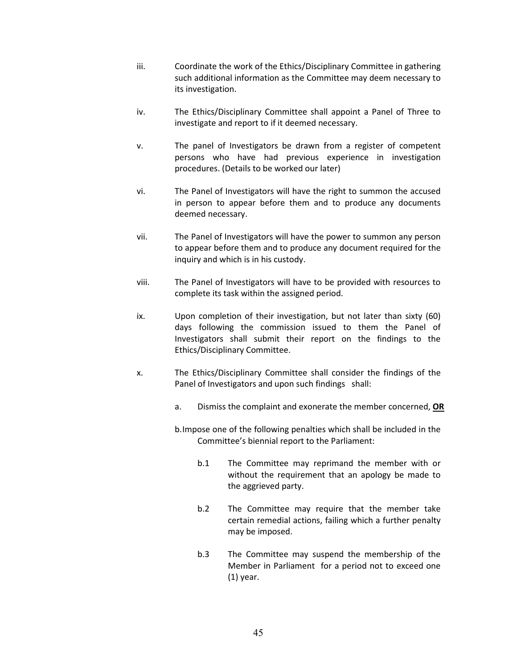- iii. Coordinate the work of the Ethics/Disciplinary Committee in gathering such additional information as the Committee may deem necessary to its investigation.
- iv. The Ethics/Disciplinary Committee shall appoint a Panel of Three to investigate and report to if it deemed necessary.
- v. The panel of Investigators be drawn from a register of competent persons who have had previous experience in investigation procedures. (Details to be worked our later)
- vi. The Panel of Investigators will have the right to summon the accused in person to appear before them and to produce any documents deemed necessary.
- vii. The Panel of Investigators will have the power to summon any person to appear before them and to produce any document required for the inquiry and which is in his custody.
- viii. The Panel of Investigators will have to be provided with resources to complete its task within the assigned period.
- ix. Upon completion of their investigation, but not later than sixty (60) days following the commission issued to them the Panel of Investigators shall submit their report on the findings to the Ethics/Disciplinary Committee.
- x. The Ethics/Disciplinary Committee shall consider the findings of the Panel of Investigators and upon such findings shall:
	- a. Dismiss the complaint and exonerate the member concerned, **OR**
	- b. Impose one of the following penalties which shall be included in the Committee's biennial report to the Parliament:
		- b.1 The Committee may reprimand the member with or without the requirement that an apology be made to the aggrieved party.
		- b.2 The Committee may require that the member take certain remedial actions, failing which a further penalty may be imposed.
		- b.3 The Committee may suspend the membership of the Member in Parliament for a period not to exceed one (1) year.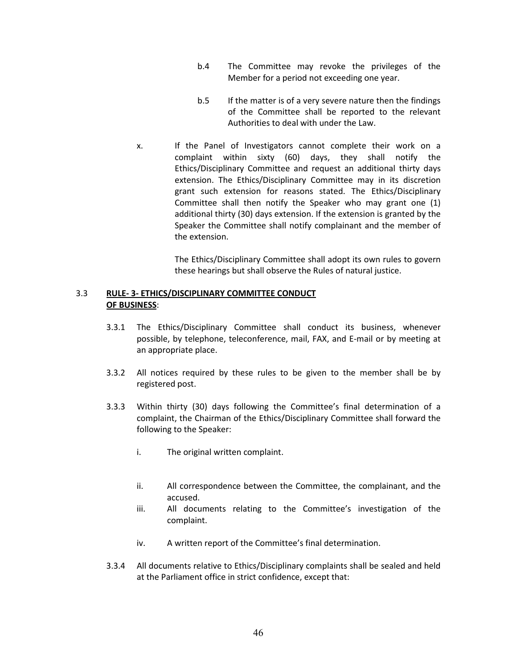- b.4 The Committee may revoke the privileges of the Member for a period not exceeding one year.
- b.5 If the matter is of a very severe nature then the findings of the Committee shall be reported to the relevant Authorities to deal with under the Law.
- x. If the Panel of Investigators cannot complete their work on a complaint within sixty (60) days, they shall notify the Ethics/Disciplinary Committee and request an additional thirty days extension. The Ethics/Disciplinary Committee may in its discretion grant such extension for reasons stated. The Ethics/Disciplinary Committee shall then notify the Speaker who may grant one (1) additional thirty (30) days extension. If the extension is granted by the Speaker the Committee shall notify complainant and the member of the extension.

 The Ethics/Disciplinary Committee shall adopt its own rules to govern these hearings but shall observe the Rules of natural justice.

# 3.3 **RULE- 3- ETHICS/DISCIPLINARY COMMITTEE CONDUCT OF BUSINESS**:

- 3.3.1 The Ethics/Disciplinary Committee shall conduct its business, whenever possible, by telephone, teleconference, mail, FAX, and E-mail or by meeting at an appropriate place.
- 3.3.2 All notices required by these rules to be given to the member shall be by registered post.
- 3.3.3 Within thirty (30) days following the Committee's final determination of a complaint, the Chairman of the Ethics/Disciplinary Committee shall forward the following to the Speaker:
	- i. The original written complaint.
	- ii. All correspondence between the Committee, the complainant, and the accused.
	- iii. All documents relating to the Committee's investigation of the complaint.
	- iv. A written report of the Committee's final determination.
- 3.3.4 All documents relative to Ethics/Disciplinary complaints shall be sealed and held at the Parliament office in strict confidence, except that: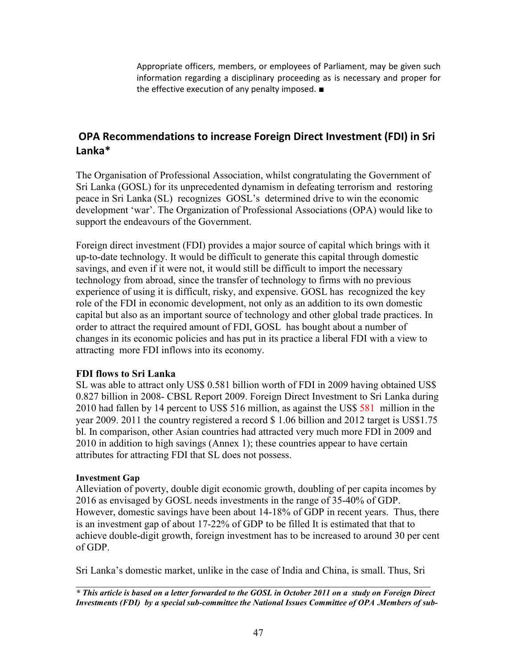Appropriate officers, members, or employees of Parliament, may be given such information regarding a disciplinary proceeding as is necessary and proper for the effective execution of any penalty imposed. ■

# **OPA Recommendations to increase Foreign Direct Investment (FDI) in Sri Lanka\***

The Organisation of Professional Association, whilst congratulating the Government of Sri Lanka (GOSL) for its unprecedented dynamism in defeating terrorism and restoring peace in Sri Lanka (SL) recognizes GOSL's determined drive to win the economic development 'war'. The Organization of Professional Associations (OPA) would like to support the endeavours of the Government.

Foreign direct investment (FDI) provides a major source of capital which brings with it up-to-date technology. It would be difficult to generate this capital through domestic savings, and even if it were not, it would still be difficult to import the necessary technology from abroad, since the transfer of technology to firms with no previous experience of using it is difficult, risky, and expensive. GOSL has recognized the key role of the FDI in economic development, not only as an addition to its own domestic capital but also as an important source of technology and other global trade practices. In order to attract the required amount of FDI, GOSL has bought about a number of changes in its economic policies and has put in its practice a liberal FDI with a view to attracting more FDI inflows into its economy.

# **FDI flows to Sri Lanka**

SL was able to attract only US\$ 0.581 billion worth of FDI in 2009 having obtained US\$ 0.827 billion in 2008- CBSL Report 2009. Foreign Direct Investment to Sri Lanka during 2010 had fallen by 14 percent to US\$ 516 million, as against the US\$ 581 million in the year 2009. 2011 the country registered a record \$ 1.06 billion and 2012 target is US\$1.75 bl. In comparison, other Asian countries had attracted very much more FDI in 2009 and 2010 in addition to high savings (Annex 1); these countries appear to have certain attributes for attracting FDI that SL does not possess.

# **Investment Gap**

Alleviation of poverty, double digit economic growth, doubling of per capita incomes by 2016 as envisaged by GOSL needs investments in the range of 35-40% of GDP. However, domestic savings have been about 14-18% of GDP in recent years. Thus, there is an investment gap of about 17-22% of GDP to be filled It is estimated that that to achieve double-digit growth, foreign investment has to be increased to around 30 per cent of GDP.

Sri Lanka's domestic market, unlike in the case of India and China, is small. Thus, Sri

 $\_$  , and the contribution of the contribution of  $\mathcal{L}_\mathcal{A}$  , and the contribution of  $\mathcal{L}_\mathcal{A}$ *\* This article is based on a letter forwarded to the GOSL in October 2011 on a study on Foreign Direct Investments (FDI) by a special sub-committee the National Issues Committee of OPA* **.***Members of sub-*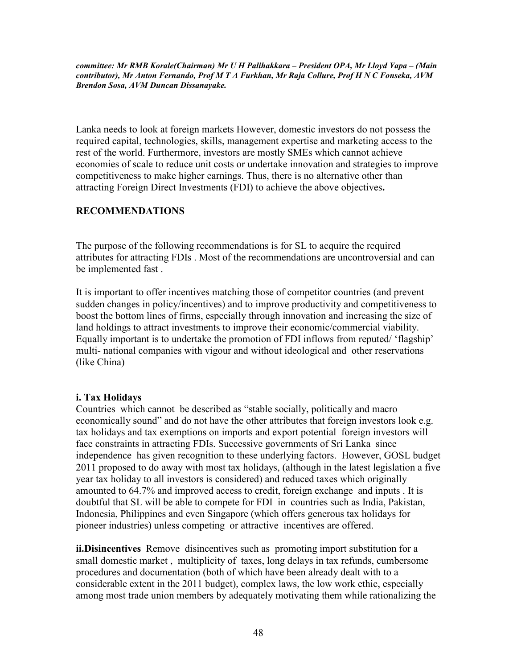*committee: Mr RMB Korale(Chairman) Mr U H Palihakkara – President OPA, Mr Lloyd Yapa – (Main contributor), Mr Anton Fernando, Prof M T A Furkhan, Mr Raja Collure, Prof H N C Fonseka, AVM Brendon Sosa, AVM Duncan Dissanayake.* 

Lanka needs to look at foreign markets However, domestic investors do not possess the required capital, technologies, skills, management expertise and marketing access to the rest of the world. Furthermore, investors are mostly SMEs which cannot achieve economies of scale to reduce unit costs or undertake innovation and strategies to improve competitiveness to make higher earnings. Thus, there is no alternative other than attracting Foreign Direct Investments (FDI) to achieve the above objectives**.** 

# **RECOMMENDATIONS**

The purpose of the following recommendations is for SL to acquire the required attributes for attracting FDIs . Most of the recommendations are uncontroversial and can be implemented fast .

It is important to offer incentives matching those of competitor countries (and prevent sudden changes in policy/incentives) and to improve productivity and competitiveness to boost the bottom lines of firms, especially through innovation and increasing the size of land holdings to attract investments to improve their economic/commercial viability. Equally important is to undertake the promotion of FDI inflows from reputed/ 'flagship' multi- national companies with vigour and without ideological and other reservations (like China)

# **i. Tax Holidays**

Countries which cannot be described as "stable socially, politically and macro economically sound" and do not have the other attributes that foreign investors look e.g. tax holidays and tax exemptions on imports and export potential foreign investors will face constraints in attracting FDIs. Successive governments of Sri Lanka since independence has given recognition to these underlying factors. However, GOSL budget 2011 proposed to do away with most tax holidays, (although in the latest legislation a five year tax holiday to all investors is considered) and reduced taxes which originally amounted to 64.7% and improved access to credit, foreign exchange and inputs . It is doubtful that SL will be able to compete for FDI in countries such as India, Pakistan, Indonesia, Philippines and even Singapore (which offers generous tax holidays for pioneer industries) unless competing or attractive incentives are offered.

**ii.Disincentives** Remove disincentives such as promoting import substitution for a small domestic market , multiplicity of taxes, long delays in tax refunds, cumbersome procedures and documentation (both of which have been already dealt with to a considerable extent in the 2011 budget), complex laws, the low work ethic, especially among most trade union members by adequately motivating them while rationalizing the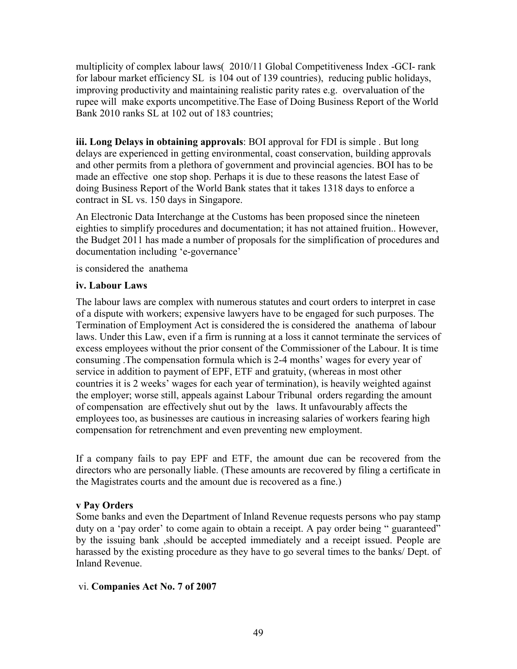multiplicity of complex labour laws( 2010/11 Global Competitiveness Index -GCI- rank for labour market efficiency SL is 104 out of 139 countries), reducing public holidays, improving productivity and maintaining realistic parity rates e.g. overvaluation of the rupee will make exports uncompetitive.The Ease of Doing Business Report of the World Bank 2010 ranks SL at 102 out of 183 countries;

**iii. Long Delays in obtaining approvals**: BOI approval for FDI is simple . But long delays are experienced in getting environmental, coast conservation, building approvals and other permits from a plethora of government and provincial agencies. BOI has to be made an effective one stop shop. Perhaps it is due to these reasons the latest Ease of doing Business Report of the World Bank states that it takes 1318 days to enforce a contract in SL vs. 150 days in Singapore.

An Electronic Data Interchange at the Customs has been proposed since the nineteen eighties to simplify procedures and documentation; it has not attained fruition.. However, the Budget 2011 has made a number of proposals for the simplification of procedures and documentation including 'e-governance'

is considered the anathema

# **iv. Labour Laws**

The labour laws are complex with numerous statutes and court orders to interpret in case of a dispute with workers; expensive lawyers have to be engaged for such purposes. The Termination of Employment Act is considered the is considered the anathema of labour laws. Under this Law, even if a firm is running at a loss it cannot terminate the services of excess employees without the prior consent of the Commissioner of the Labour. It is time consuming .The compensation formula which is 2-4 months' wages for every year of service in addition to payment of EPF, ETF and gratuity, (whereas in most other countries it is 2 weeks' wages for each year of termination), is heavily weighted against the employer; worse still, appeals against Labour Tribunal orders regarding the amount of compensation are effectively shut out by the laws. It unfavourably affects the employees too, as businesses are cautious in increasing salaries of workers fearing high compensation for retrenchment and even preventing new employment.

If a company fails to pay EPF and ETF, the amount due can be recovered from the directors who are personally liable. (These amounts are recovered by filing a certificate in the Magistrates courts and the amount due is recovered as a fine.)

# **v Pay Orders**

Some banks and even the Department of Inland Revenue requests persons who pay stamp duty on a 'pay order' to come again to obtain a receipt. A pay order being " guaranteed" by the issuing bank ,should be accepted immediately and a receipt issued. People are harassed by the existing procedure as they have to go several times to the banks/ Dept. of Inland Revenue.

# vi. **Companies Act No. 7 of 2007**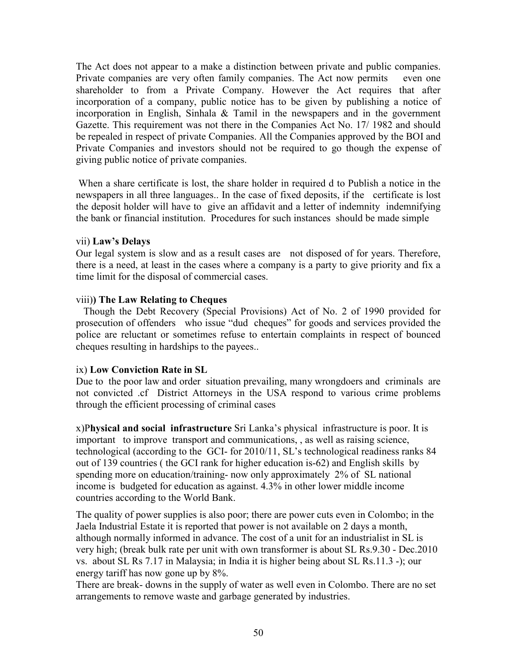The Act does not appear to a make a distinction between private and public companies. Private companies are very often family companies. The Act now permits even one shareholder to from a Private Company. However the Act requires that after incorporation of a company, public notice has to be given by publishing a notice of incorporation in English, Sinhala & Tamil in the newspapers and in the government Gazette. This requirement was not there in the Companies Act No. 17/ 1982 and should be repealed in respect of private Companies. All the Companies approved by the BOI and Private Companies and investors should not be required to go though the expense of giving public notice of private companies.

 When a share certificate is lost, the share holder in required d to Publish a notice in the newspapers in all three languages.. In the case of fixed deposits, if the certificate is lost the deposit holder will have to give an affidavit and a letter of indemnity indemnifying the bank or financial institution. Procedures for such instances should be made simple

# vii) **Law's Delays**

Our legal system is slow and as a result cases are not disposed of for years. Therefore, there is a need, at least in the cases where a company is a party to give priority and fix a time limit for the disposal of commercial cases.

# viii)**) The Law Relating to Cheques**

 Though the Debt Recovery (Special Provisions) Act of No. 2 of 1990 provided for prosecution of offenders who issue "dud cheques" for goods and services provided the police are reluctant or sometimes refuse to entertain complaints in respect of bounced cheques resulting in hardships to the payees..

# ix) **Low Conviction Rate in SL**

Due to the poor law and order situation prevailing, many wrongdoers and criminals are not convicted .cf District Attorneys in the USA respond to various crime problems through the efficient processing of criminal cases

x)P**hysical and social infrastructure** Sri Lanka's physical infrastructure is poor. It is important to improve transport and communications, , as well as raising science, technological (according to the GCI- for 2010/11, SL's technological readiness ranks 84 out of 139 countries ( the GCI rank for higher education is-62) and English skills by spending more on education/training- now only approximately 2% of SL national income is budgeted for education as against. 4.3% in other lower middle income countries according to the World Bank.

The quality of power supplies is also poor; there are power cuts even in Colombo; in the Jaela Industrial Estate it is reported that power is not available on 2 days a month, although normally informed in advance. The cost of a unit for an industrialist in SL is very high; (break bulk rate per unit with own transformer is about SL Rs.9.30 - Dec.2010 vs. about SL Rs 7.17 in Malaysia; in India it is higher being about SL Rs.11.3 -); our energy tariff has now gone up by 8%.

There are break- downs in the supply of water as well even in Colombo. There are no set arrangements to remove waste and garbage generated by industries.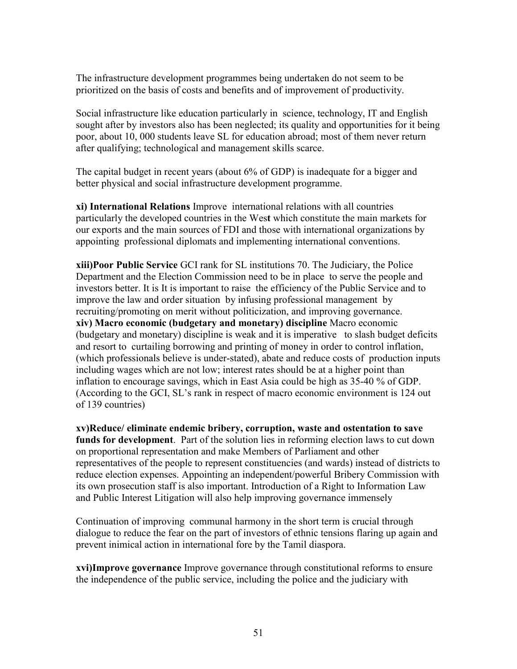The infrastructure development programmes being undertaken do not seem to be prioritized on the basis of costs and benefits and of improvement of productivity.

Social infrastructure like education particularly in science, technology, IT and English sought after by investors also has been neglected; its quality and opportunities for it being poor, about 10, 000 students leave SL for education abroad; most of them never return after qualifying; technological and management skills scarce.

The capital budget in recent years (about 6% of GDP) is inadequate for a bigger and better physical and social infrastructure development programme.

**xi) International Relations** Improve international relations with all countries particularly the developed countries in the Wes**t** which constitute the main markets for our exports and the main sources of FDI and those with international organizations by appointing professional diplomats and implementing international conventions.

**xiii)Poor Public Service** GCI rank for SL institutions 70. The Judiciary, the Police Department and the Election Commission need to be in place to serve the people and investors better. It is It is important to raise the efficiency of the Public Service and to improve the law and order situation by infusing professional management by recruiting/promoting on merit without politicization, and improving governance. **xiv) Macro economic (budgetary and monetary) discipline** Macro economic (budgetary and monetary) discipline is weak and it is imperative to slash budget deficits and resort to curtailing borrowing and printing of money in order to control inflation, (which professionals believe is under-stated), abate and reduce costs of production inputs including wages which are not low; interest rates should be at a higher point than inflation to encourage savings, which in East Asia could be high as 35-40 % of GDP. (According to the GCI, SL's rank in respect of macro economic environment is 124 out of 139 countries)

**xv)Reduce/ eliminate endemic bribery, corruption, waste and ostentation to save funds for development**. Part of the solution lies in reforming election laws to cut down on proportional representation and make Members of Parliament and other representatives of the people to represent constituencies (and wards) instead of districts to reduce election expenses. Appointing an independent/powerful Bribery Commission with its own prosecution staff is also important. Introduction of a Right to Information Law and Public Interest Litigation will also help improving governance immensely

Continuation of improving communal harmony in the short term is crucial through dialogue to reduce the fear on the part of investors of ethnic tensions flaring up again and prevent inimical action in international fore by the Tamil diaspora.

**xvi)Improve governance** Improve governance through constitutional reforms to ensure the independence of the public service, including the police and the judiciary with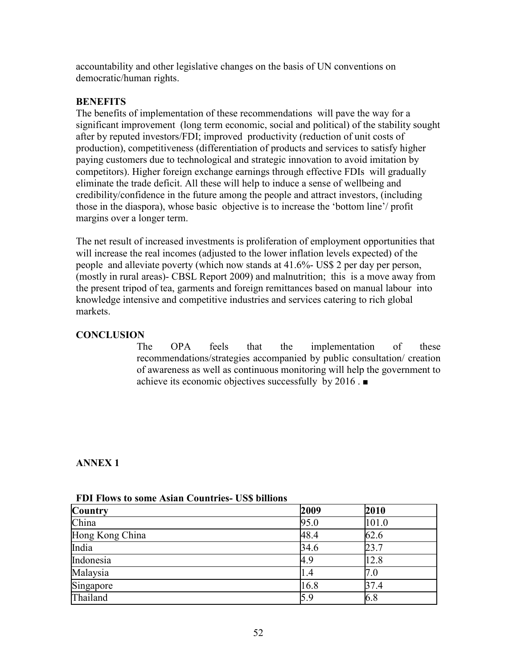accountability and other legislative changes on the basis of UN conventions on democratic/human rights.

# **BENEFITS**

The benefits of implementation of these recommendations will pave the way for a significant improvement (long term economic, social and political) of the stability sought after by reputed investors/FDI; improved productivity (reduction of unit costs of production), competitiveness (differentiation of products and services to satisfy higher paying customers due to technological and strategic innovation to avoid imitation by competitors). Higher foreign exchange earnings through effective FDIs will gradually eliminate the trade deficit. All these will help to induce a sense of wellbeing and credibility/confidence in the future among the people and attract investors, (including those in the diaspora), whose basic objective is to increase the 'bottom line'/ profit margins over a longer term.

The net result of increased investments is proliferation of employment opportunities that will increase the real incomes (adjusted to the lower inflation levels expected) of the people and alleviate poverty (which now stands at 41.6%- US\$ 2 per day per person, (mostly in rural areas)- CBSL Report 2009) and malnutrition; this is a move away from the present tripod of tea, garments and foreign remittances based on manual labour into knowledge intensive and competitive industries and services catering to rich global markets.

# **CONCLUSION**

The OPA feels that the implementation of these recommendations/strategies accompanied by public consultation/ creation of awareness as well as continuous monitoring will help the government to achieve its economic objectives successfully by 2016 . ■

# **ANNEX 1**

| <b>Country</b>  | 2009 | 2010  |
|-----------------|------|-------|
| China           | 95.0 | 101.0 |
| Hong Kong China | 48.4 | 62.6  |
| India           | 34.6 | 23.7  |
| Indonesia       | 4.9  | 12.8  |
| Malaysia        | 1.4  | 7.0   |
| Singapore       | 16.8 | 37.4  |
| Thailand        | 5.9  | 6.8   |

**FDI Flows to some Asian Countries- US\$ billions**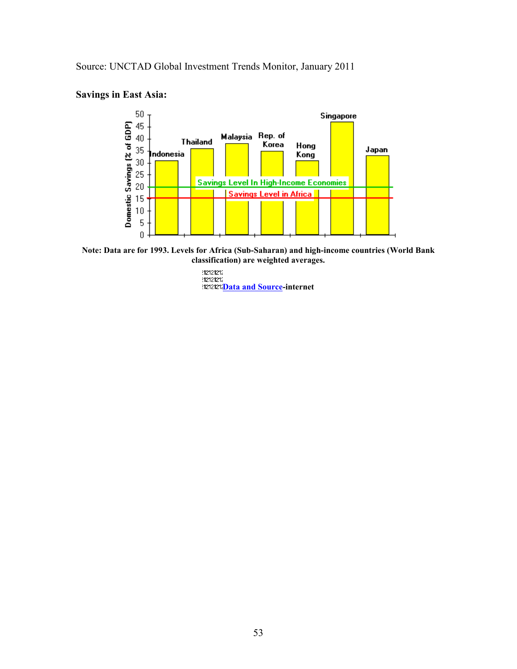Source: UNCTAD Global Investment Trends Monitor, January 2011

# **Savings in East Asia:**



**Note: Data are for 1993. Levels for Africa (Sub-Saharan) and high-income countries (World Bank classification) are weighted averages.** 

> 212121212 **Preference**<br>|-<br>|121212121<mark>Data and Source</mark>-internet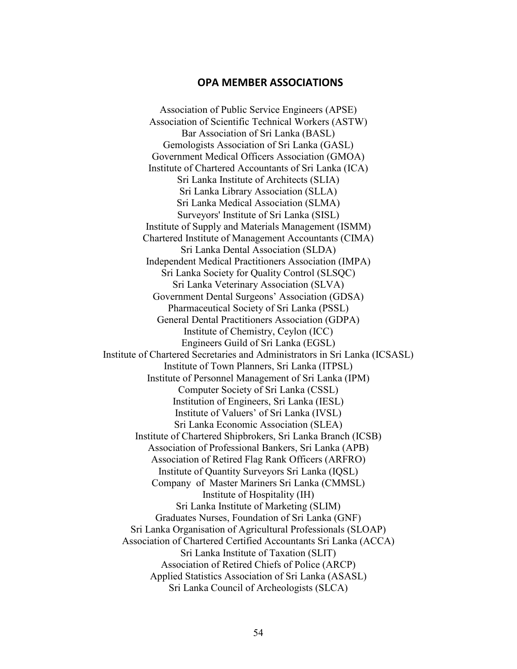# **OPA MEMBER ASSOCIATIONS**

Association of Public Service Engineers (APSE) Association of Scientific Technical Workers (ASTW) Bar Association of Sri Lanka (BASL) Gemologists Association of Sri Lanka (GASL) Government Medical Officers Association (GMOA) Institute of Chartered Accountants of Sri Lanka (ICA) Sri Lanka Institute of Architects (SLIA) Sri Lanka Library Association (SLLA) Sri Lanka Medical Association (SLMA) Surveyors' Institute of Sri Lanka (SISL) Institute of Supply and Materials Management (ISMM) Chartered Institute of Management Accountants (CIMA) Sri Lanka Dental Association (SLDA) Independent Medical Practitioners Association (IMPA) Sri Lanka Society for Quality Control (SLSQC) Sri Lanka Veterinary Association (SLVA) Government Dental Surgeons' Association (GDSA) Pharmaceutical Society of Sri Lanka (PSSL) General Dental Practitioners Association (GDPA) Institute of Chemistry, Ceylon (ICC) Engineers Guild of Sri Lanka (EGSL) Institute of Chartered Secretaries and Administrators in Sri Lanka (ICSASL) Institute of Town Planners, Sri Lanka (ITPSL) Institute of Personnel Management of Sri Lanka (IPM) Computer Society of Sri Lanka (CSSL) Institution of Engineers, Sri Lanka (IESL) Institute of Valuers' of Sri Lanka (IVSL) Sri Lanka Economic Association (SLEA) Institute of Chartered Shipbrokers, Sri Lanka Branch (ICSB) Association of Professional Bankers, Sri Lanka (APB) Association of Retired Flag Rank Officers (ARFRO) Institute of Quantity Surveyors Sri Lanka (IQSL) Company of Master Mariners Sri Lanka (CMMSL) Institute of Hospitality (IH) Sri Lanka Institute of Marketing (SLIM) Graduates Nurses, Foundation of Sri Lanka (GNF) Sri Lanka Organisation of Agricultural Professionals (SLOAP) Association of Chartered Certified Accountants Sri Lanka (ACCA) Sri Lanka Institute of Taxation (SLIT) Association of Retired Chiefs of Police (ARCP) Applied Statistics Association of Sri Lanka (ASASL) Sri Lanka Council of Archeologists (SLCA)